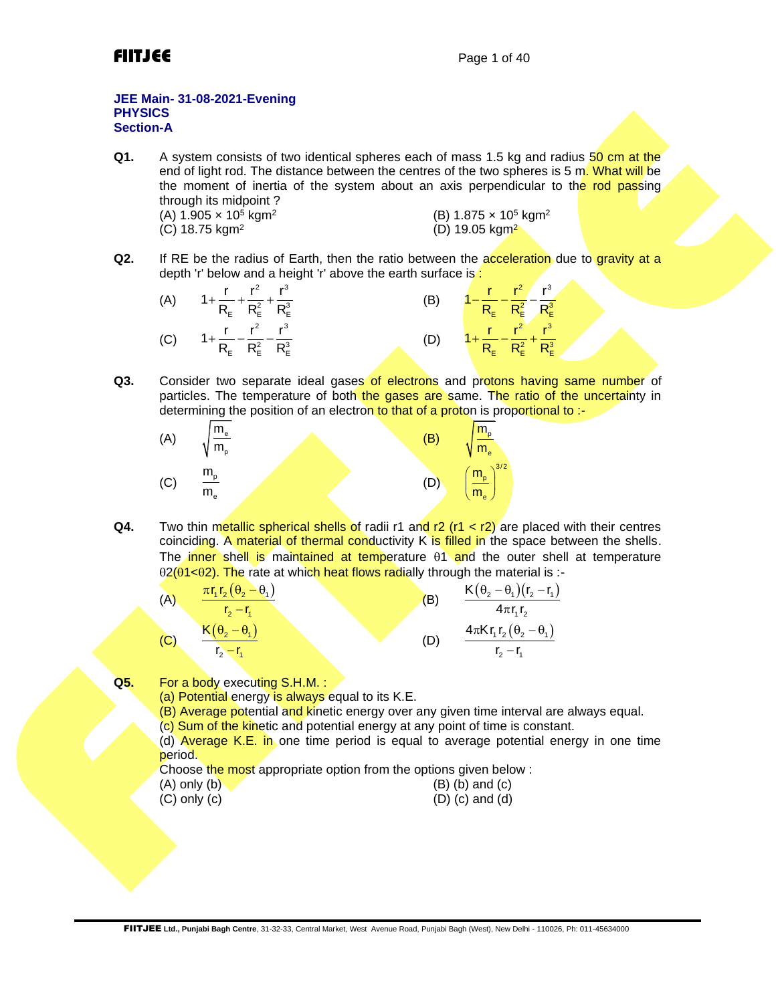

## **JEE Main- 31-08-2021-Evening PHYSICS Section-A**

- **Q1.** A system consists of two identical spheres each of mass 1.5 kg and radius 50 cm at the end of light rod. The distance between the centres of the two spheres is 5 m. What will be the moment of inertia of the system about an axis perpendicular to the rod passing through its midpoint ? (A)  $1.905 \times 10^5$  kgm<sup>2</sup> (B) 1.875 × 10<sup>5</sup> kgm<sup>2</sup> (C) 18.75 kgm<sup>2</sup>  $(D)$  19.05 kgm<sup>2</sup>
- **Q2.** If RE be the radius of Earth, then the ratio between the acceleration due to gravity at a depth 'r' below and a height 'r' above the earth surface is:



**Q3.** Consider two separate ideal gases of electrons and protons having same number of particles. The temperature of both the gases are same. The ratio of the uncertainty in determining the position of an electron to that of a proton is proportional to :-



**Q4.** Two thin metallic spherical shells of radii r1 and r2 (r1 < r2) are placed with their centres coinciding. A material of thermal conductivity K is filled in the space between the shells. The inner shell is maintained at temperature  $\theta$ 1 and the outer shell at temperature  $\theta$ 2( $\theta$ 1< $\theta$ 2). The rate at which heat flows radially through the material is :-

(A) 
$$
\frac{\pi r_1 r_2 (\theta_2 - \theta_1)}{r_2 - r_1}
$$
  
\n(B) 
$$
\frac{K(\theta_2 - \theta_1)(r_2 - r_1)}{4\pi r_1 r_2}
$$
  
\n(C) 
$$
\frac{K(\theta_2 - \theta_1)}{r_2 - r_1}
$$
  
\n(D) 
$$
\frac{4\pi K r_1 r_2 (\theta_2 - \theta_1)}{r_2 - r_1}
$$

**Q5.** For a body executing S.H.M. :

(a) Potential energy is always equal to its K.E.

(B) Average potential and kinetic energy over any given time interval are always equal.

(c) Sum of the kinetic and potential energy at any point of time is constant.

(d) **Average K.E. in** one time period is equal to average potential energy in one time period.

Choose the most appropriate option from the options given below :

| $(A)$ only $(b)$ | $(B)$ (b) and $(c)$ |
|------------------|---------------------|
| $(C)$ only $(c)$ | $(D)$ (c) and (d)   |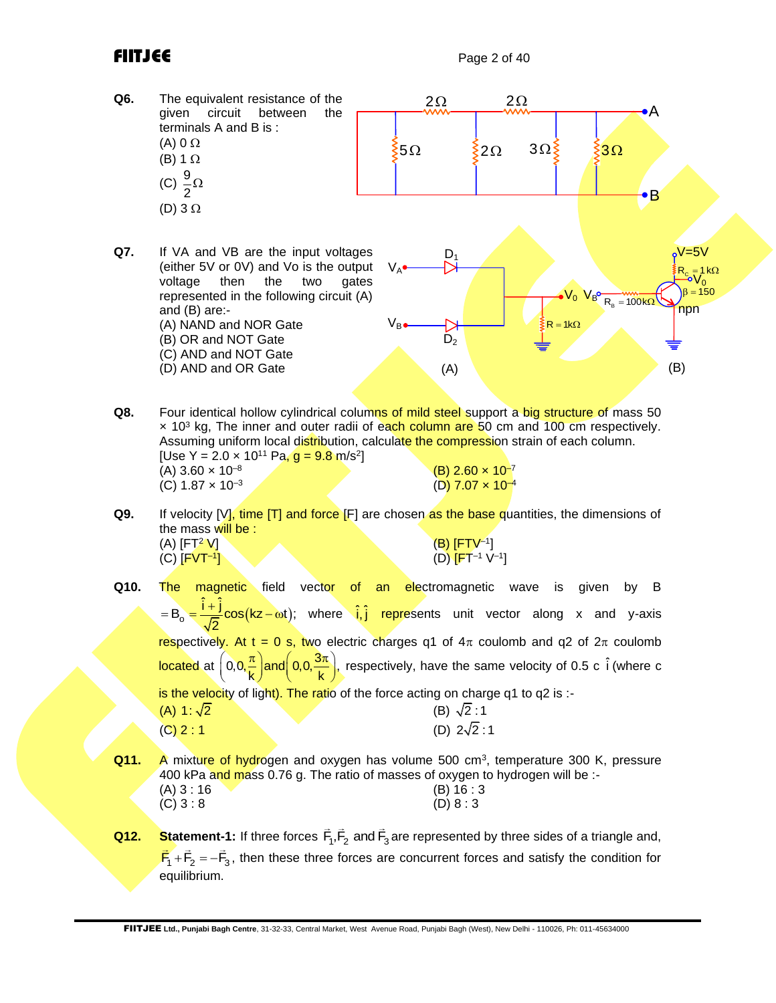

Assuming uniform local distribution, calculate the compression strain of each column. [Use Y = 2.0 **×** 10<sup>11</sup> Pa<mark>, g = 9.8 m</mark>/s<sup>2</sup>]  $(A)$  3.60  $\times$  10<sup>-8</sup> (C)  $1.87 \times 10^{-3}$ 

 $(B)$  2.60  $\times$  10<sup>-7</sup>  $(D)$  7.07  $\times$  10<sup>-4</sup>

- **Q9.** If velocity [V], time [T] and force [F] are chosen as the base quantities, the dimensions of the mass will be :<br>(A)  $[FT<sup>2</sup> V]$  $(A)$  [FT<sup>2</sup> V]  $(B)$  [FTV<sup>-1</sup>]  $(C)$  [FVT-1] **]** (D)  $[FT^{-1} V^{-1}]$
- **Q10.** The magnetic field vector of an electromagnetic wave is given by B  $B_0 = \frac{\hat{i} + \hat{j}}{\sqrt{2}} \cos(kz - \omega t);$ 2  $= B_0 = \frac{\hat{i} + \hat{j}}{\sqrt{2}} \cos(kz - \omega t);$  where  $\hat{i}, \hat{j}$  represents unit vector along x and y-axis respectively. At t = 0 s, two electric charges q1 of  $4\pi$  coulomb and q2 of  $2\pi$  coulomb located at  $\left(0,0,\frac{\pi}{\mathsf{k}}\right)$ and $\left(0,0,\frac{3\pi}{\mathsf{k}}\right)$ , l respectively, have the same velocity of 0.5 c  $\hat{i}$  (where c is the velocity of light). The ratio of the force acting on charge q1 to q2 is :-(A) 1:  $\sqrt{2}$  $(B) \sqrt{2} : 1$  $(C) 2 : 1$ (D)  $2\sqrt{2}$ :1
- **Q11.** A mixture of hydrogen and oxygen has volume 500 cm<sup>3</sup>, temperature 300 K, pressure 400 kPa and mass 0.76 g. The ratio of masses of oxygen to hydrogen will be :- $(A) 3 : 16$  (B) 16 : 3  $(C) 3 : 8$  (D) 8 : 3
- **Q12.** Statement-1: If three forces  $F_1, F_2$  and  $F_3$  are represented by three sides of a triangle and,  $\overline{F}_1 + \overline{F}_2 = -\overline{F}_3$ , then these three forces are concurrent forces and satisfy the condition for equilibrium.

FIITJEE **Ltd., Punjabi Bagh Centre**, 31-32-33, Central Market, West Avenue Road, Punjabi Bagh (West), New Delhi - 110026, Ph: 011-45634000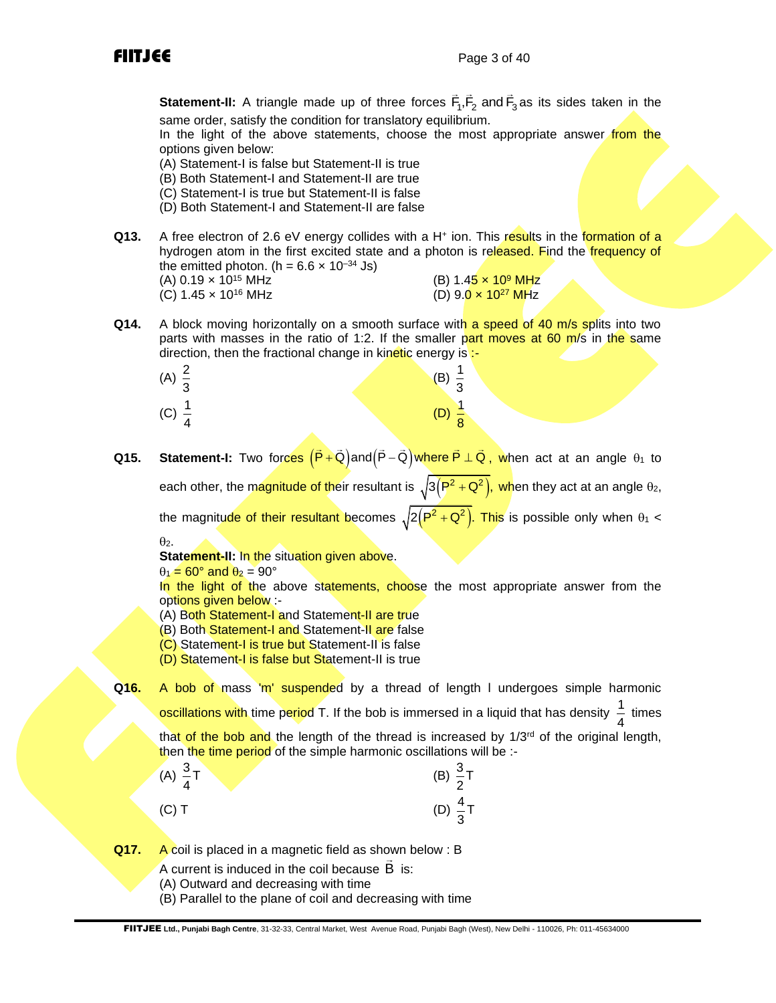**Statement-II:** A triangle made up of three forces  $F_1, F_2$  and  $F_3$  as its sides taken in the same order, satisfy the condition for translatory equilibrium.

In the light of the above statements, choose the most appropriate answer from the options given below:

- (A) Statement-I is false but Statement-II is true
- (B) Both Statement-I and Statement-II are true
- (C) Statement-I is true but Statement-II is false
- (D) Both Statement-I and Statement-II are false
- Q13. A free electron of 2.6 eV energy collides with a H<sup>+</sup> ion. This results in the formation of a hydrogen atom in the first excited state and a photon is released. Find the frequency of the emitted photon. (h =  $6.6 \times 10^{-34}$  Js)

(C)  $1.45 \times 10^{16}$  MHz

- (A) 0.19 x 10<sup>15</sup> MHz<br>
(C) 1.45 x 10<sup>16</sup> MHz<br>
(C) 1.45 x 10<sup>16</sup> MHz<br>
(D) 9.0 x 10<sup>27</sup> MHz
- **Q14.** A block moving horizontally on a smooth surface with a speed of 40 m/s splits into two parts with masses in the ratio of 1:2. If the smaller part moves at 60 m/s in the same direction, then the fractional change in kinetic energy is :-

| (A) $\frac{2}{3}$ | $rac{1}{3}$<br>(B)               |
|-------------------|----------------------------------|
| (C) $\frac{1}{4}$ | (D)<br>$\overline{\overline{8}}$ |

**Q15. Statement-I:** Two forces  $(\vec{P} + \vec{Q})$ and $(\vec{P} - \vec{Q})$ where  $\vec{P} \perp \vec{Q}$ , when act at an angle θ<sub>1</sub> to

each other, the magnitude of their resultant is  $\sqrt{3(P^2+Q^2)}$ , when they act at an angle  $\theta_2$ ,

the magnitude of their resultant becomes  $\sqrt{2(P^2+Q^2)}$ . This is possible only when  $\theta_1 <$  $\theta$ <sub>2</sub>.

**Statement-II:** In the situation given above.

 $\theta_1 = 60^\circ$  and  $\theta_2 = 90^\circ$ 

In the light of the above statements, choose the most appropriate answer from the options given below :-

- (A) Both Statement-I and Statement-II are true
- (B) Both Statement-I and Statement-II are false
- (C) Statement-I is true but Statement-II is false

(D) Statement-I is false but Statement-II is true

**Q16.** A bob of mass 'm' suspended by a thread of length l undergoes simple harmonic oscillations with time period T. If the bob is immersed in a liquid that has density  $\frac{1}{1}$ 4 times that of the bob and the length of the thread is increased by 1/3<sup>rd</sup> of the original length, then the time period of the simple harmonic oscillations will be :-

(A) 
$$
\frac{3}{4}
$$
T  
\n(B)  $\frac{3}{2}$ T  
\n(C) T  
\n(D)  $\frac{4}{3}$ T

**Q17.** A coil is placed in a magnetic field as shown below : B

- A current is induced in the coil because B is:
- (A) Outward and decreasing with time
- (B) Parallel to the plane of coil and decreasing with time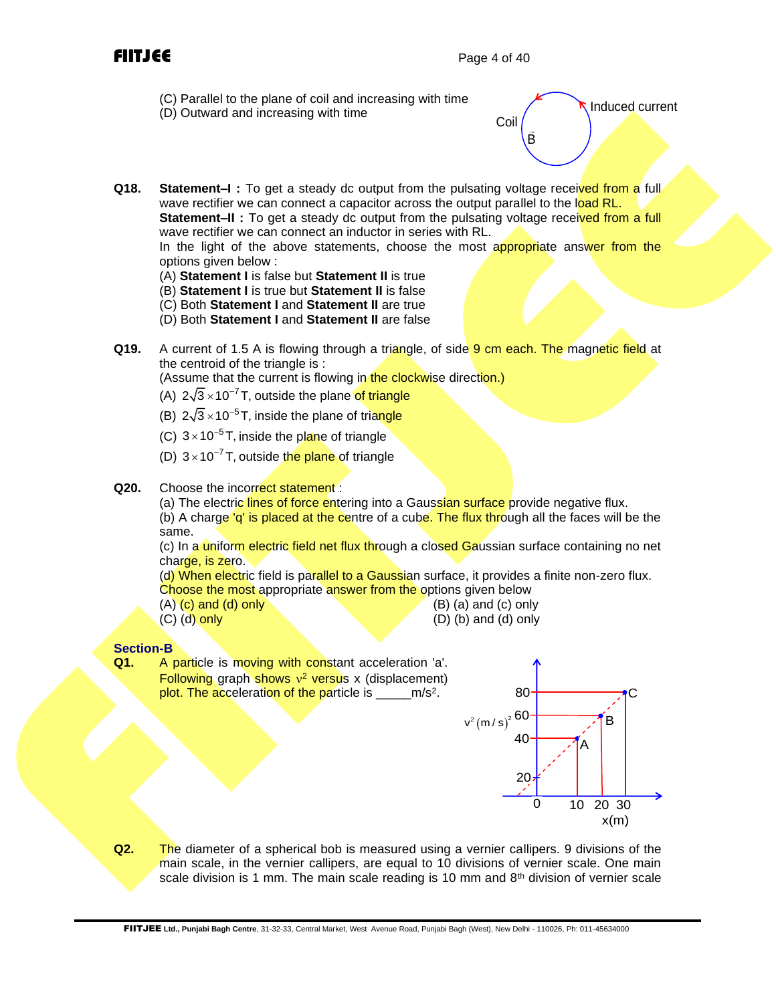- (C) Parallel to the plane of coil and increasing with time
- (D) Outward and increasing with time

B Coil Induced current

**Q18. Statement–I**: To get a steady dc output from the pulsating voltage received from a full wave rectifier we can connect a capacitor across the output parallel to the load RL. **Statement–II** : To get a steady dc output from the pulsating voltage received from a full wave rectifier we can connect an inductor in series with RL.

In the light of the above statements, choose the most appropriate answer from the options given below :

- (A) **Statement I** is false but **Statement II** is true
- (B) **Statement I** is true but **Statement II** is false
- (C) Both **Statement I** and **Statement II** are true
- (D) Both **Statement I** and **Statement II** are false
- **Q19.** A current of 1.5 A is flowing through a triangle, of side 9 cm each. The magnetic field at the centroid of the triangle is :

(Assume that the current is flowing in the clockwise direction.)

- (A)  $2\sqrt{3} \times 10^{-7}$  T, outside the plane of triangle
- (B)  $2\sqrt{3} \times 10^{-5}$  T, inside the plane of triangle
- (C)  $3 \times 10^{-5}$  T, inside the plane of triangle
- (D)  $3 \times 10^{-7}$  T, outside the plane of triangle
- **Q20.** Choose the incorrect statement:

(a) The electric lines of force entering into a Gaussian surface provide negative flux. (b) A charge 'q' is placed at the centre of a cube. The flux through all the faces will be the same.

(c) In a uniform electric field net flux through a closed Gaussian surface containing no net charge, is zero.

(d) When electric field is parallel to a Gaussian surface, it provides a finite non-zero flux. Choose the most appropriate answer from the options given below

- 
- $(A)$   $(c)$  and  $(d)$  only  $(B)$   $(B)$   $(a)$  and  $(c)$  only
	-
- (C) (d) only (D) (b) and (d) only

## **Section-B**

**Q1.** A particle is moving with constant acceleration 'a'. **Following graph shows v<sup>2</sup> versus x (displacement)** plot. The acceleration of the particle is \_\_\_\_\_m/s<sup>2</sup>.



**Q2.** The diameter of a spherical bob is measured using a vernier callipers. 9 divisions of the main scale, in the vernier callipers, are equal to 10 divisions of vernier scale. One main scale division is 1 mm. The main scale reading is 10 mm and  $8<sup>th</sup>$  division of vernier scale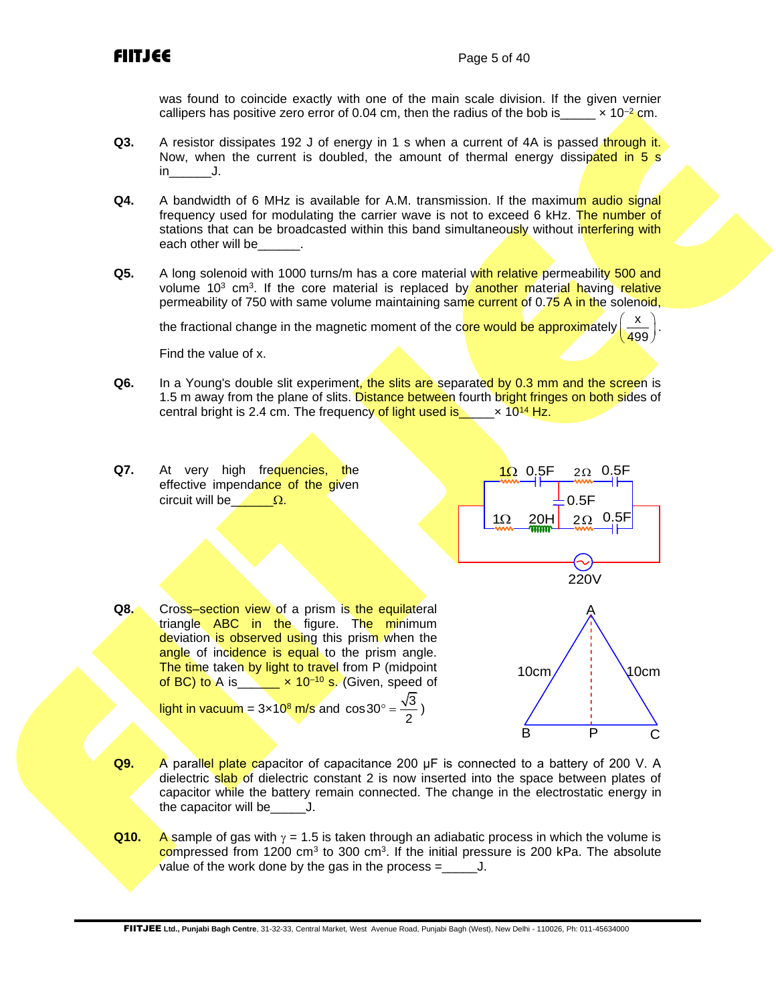was found to coincide exactly with one of the main scale division. If the given vernier callipers has positive zero error of 0.04 cm, then the radius of the bob is  $\times 10^{-2}$  cm.

- **Q3.** A resistor dissipates 192 J of energy in 1 s when a current of 4A is passed through it. Now, when the current is doubled, the amount of thermal energy dissipated in 5 s  $\mathsf{in}$  J.
- **Q4.** A bandwidth of 6 MHz is available for A.M. transmission. If the maximum audio signal frequency used for modulating the carrier wave is not to exceed 6 kHz. The number of stations that can be broadcasted within this band simultaneously without interfering with each other will be
- **Q5.** A long solenoid with 1000 turns/m has a core material with relative permeability 500 and volume 10<sup>3</sup> cm<sup>3</sup>. If the core material is replaced by another material having relative permeability of 750 with same volume maintaining same current of 0.75 A in the solenoid,

the fractional change in the magnetic moment of the core would be approximately x 499  $\left(\frac{\mathsf{x}}{499}\right)$ 

Find the value of x.

- **Q6.** In a Young's double slit experiment, the slits are separated by 0.3 mm and the screen is 1.5 m away from the plane of slits. Distance between fourth bright fringes on both sides of central bright is 2.4 cm. The frequency of light used is  $\times 10^{14}$  Hz.
- **Q7.** At very high frequencies, the effective impendance of the given circuit will be  $\Omega$ .



.

Q8. Cross–section view of a prism is the equilateral triangle ABC in the figure. The minimum deviation is observed using this prism when the angle of incidence is equal to the prism angle. The time taken by light to travel from P (midpoint of BC) to A is  $\times$   $\times$  10<sup>-10</sup> s. (Given, speed of light in vacuum =  $3 \times 10^8$  m/s and  $\cos 30^\circ = \frac{\sqrt{3}}{2}$ )



- **Q9.** A parallel plate capacitor of capacitance 200 μF is connected to a battery of 200 V. A dielectric slab of dielectric constant 2 is now inserted into the space between plates of capacitor while the battery remain connected. The change in the electrostatic energy in the capacitor will be\_\_\_\_\_J.
- **Q10.** A sample of gas with  $\gamma = 1.5$  is taken through an adiabatic process in which the volume is compressed from 1200 cm<sup>3</sup> to 300 cm<sup>3</sup>. If the initial pressure is 200 kPa. The absolute value of the work done by the gas in the process =\_\_\_\_\_J.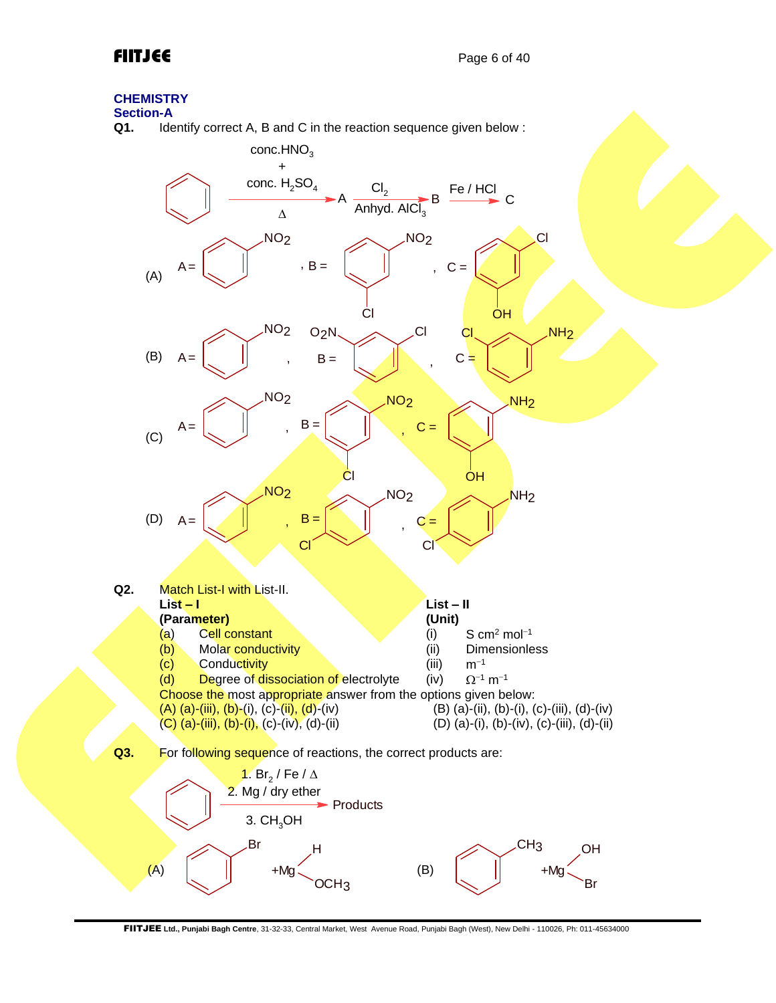## **CHEMISTRY**

# **Section-A**<br>**Q1.** Ide

Identify correct A, B and C in the reaction sequence given below :



FIITJEE **Ltd., Punjabi Bagh Centre**, 31-32-33, Central Market, West Avenue Road, Punjabi Bagh (West), New Delhi - 110026, Ph: 011-45634000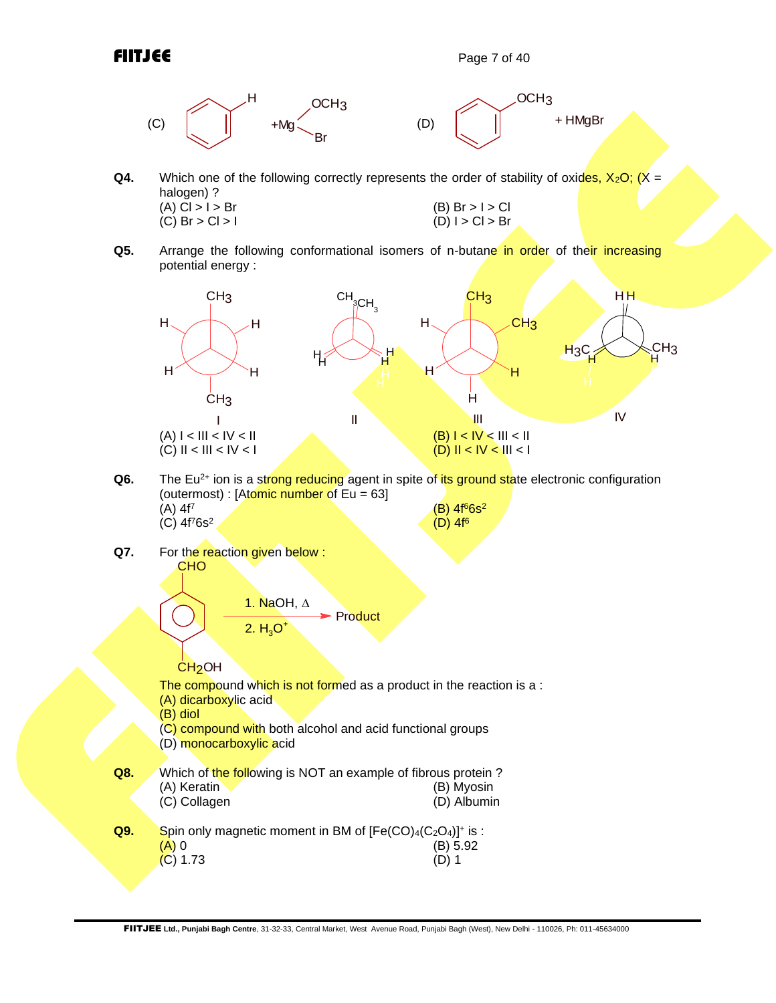

- **Q4.** Which one of the following correctly represents the order of stability of oxides,  $X_2O$ ;  $(X =$ halogen) ? (A) Cl > I > Br (B) Br > I > Cl (C) Br > I > Cl (C) Br > I > Cl (C) Br > I > Cl (C) Br > I + Cl (D) I + Cl > Br  $(C)$  Br  $>$  Cl  $>$  I
- **Q5.** Arrange the following conformational isomers of n-butane in order of their increasing potential energy :

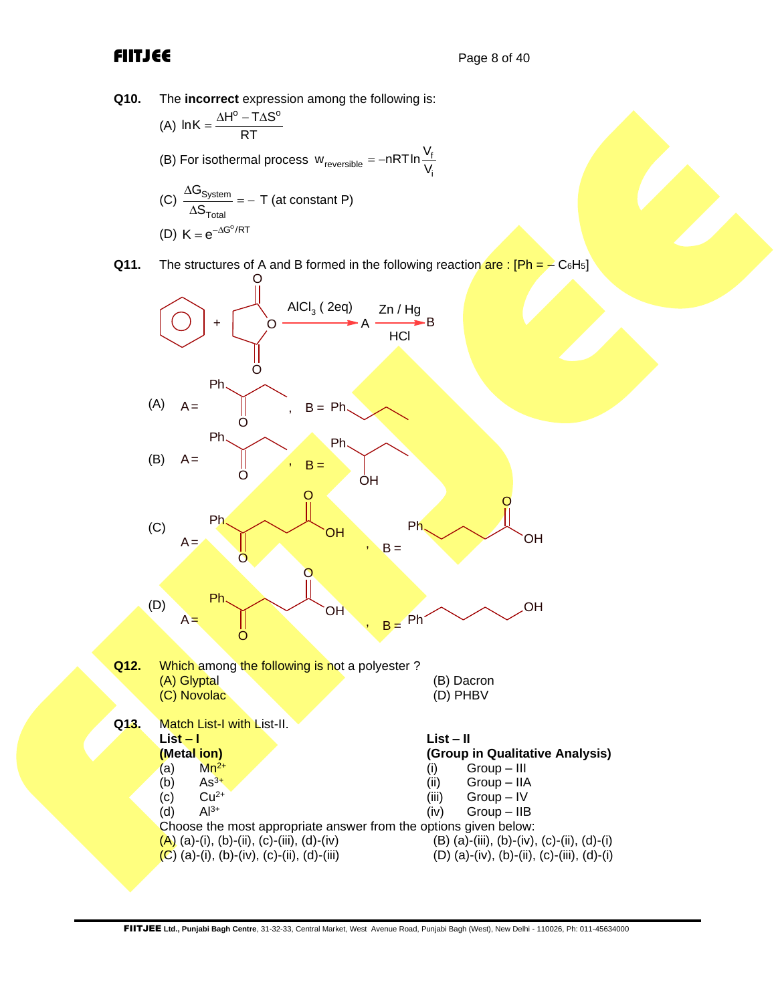**Q10.** The **incorrect** expression among the following is:

- (A)  $ln K = \frac{\Delta H^{\circ} T \Delta S^{\circ}}{RT}$  $=\frac{\Delta H^{\circ} - T\Delta S}{RT}$
- (B) For isothermal process  $w_{\text{reversible}} = -nRT \ln \frac{v}{v}$ i  $w_{\text{reversible}} = -nRT \ln \frac{V_{\text{f}}}{V}$
- $(C) \frac{\Delta \mathbf{U}_{\text{System}}}{\Delta \mathbf{O}}$ Total G S Δ  $\frac{Systemi}{\Delta S_{\text{Total}}}=$  – T (at constant P) (D)  $K = e^{-\Delta G^{\circ}/RT}$
- **Q11.** The structures of A and B formed in the following reaction are:  $[Ph = C_6H_5]$

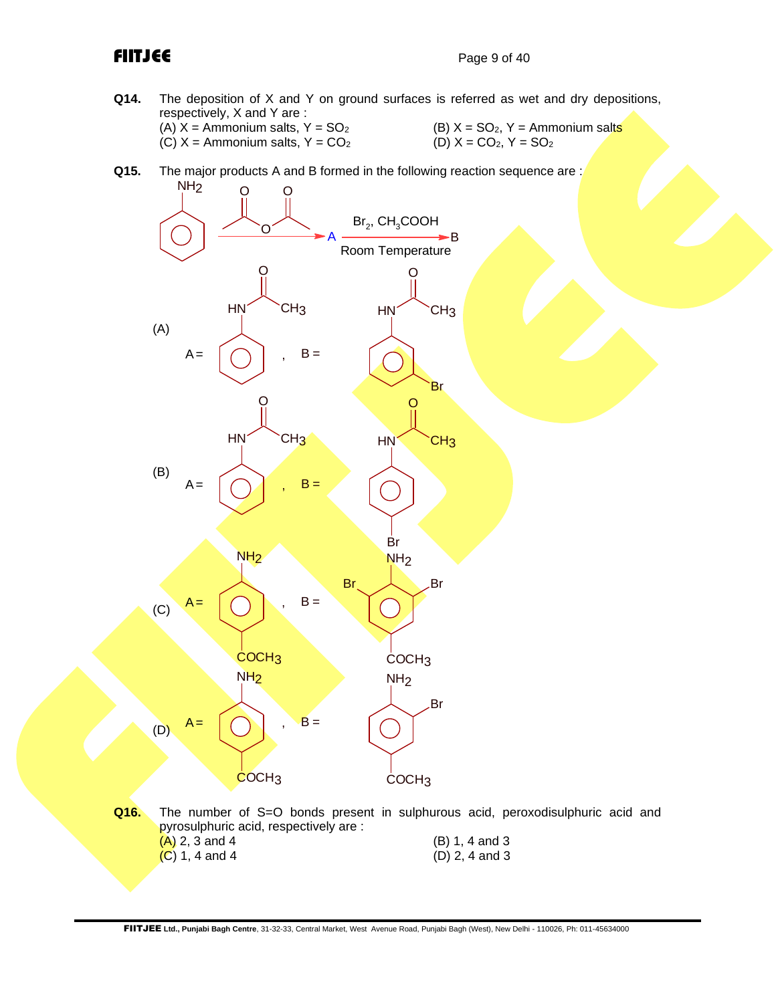**Q14.** The deposition of X and Y on ground surfaces is referred as wet and dry depositions, respectively, X and Y are : (A)  $X =$  Ammonium salts,  $Y = SO_2$ <br>
(C)  $X =$  Ammonium salts,  $Y = CO_2$ <br>
(D)  $X = CO_2$ ,  $Y = SO_2$ 

 $(C)$  X = Ammonium salts, Y =  $CO<sub>2</sub>$ 

- 
- **Q15.** The major products A and B formed in the following reaction sequence are:



**Q16.** The number of S=O bonds present in sulphurous acid, peroxodisulphuric acid and pyrosulphuric acid, respectively are :  $(A)$  2, 3 and 4 (B) 1, 4 and 3 (C) 1, 4 and 4 (D) 2, 4 and 3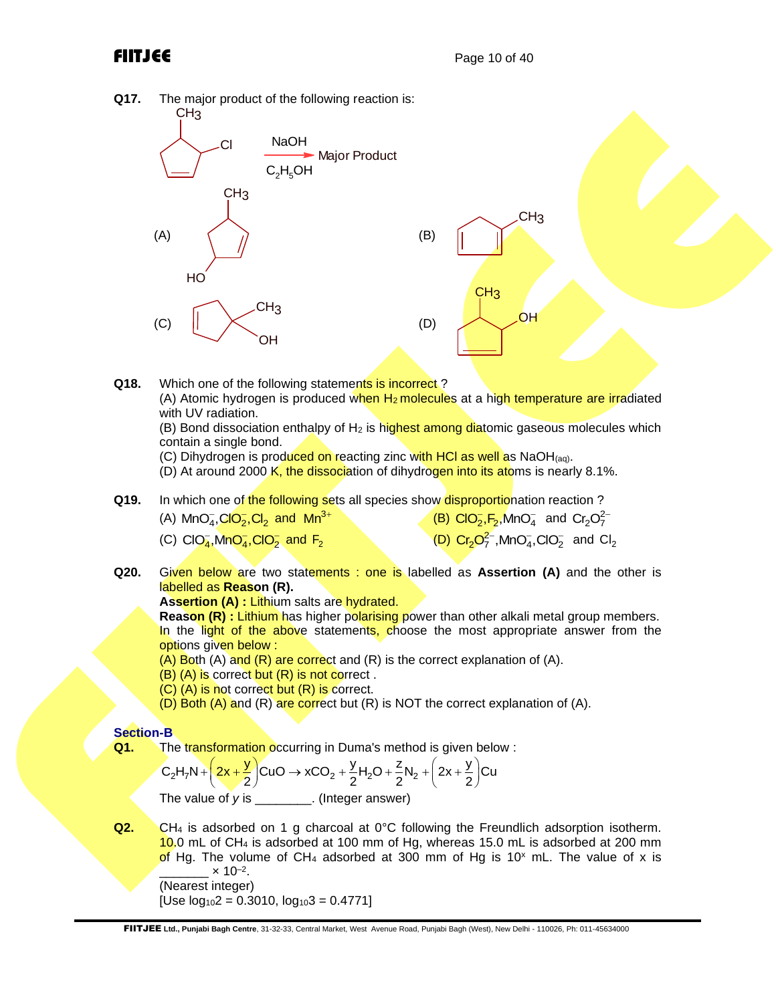

- (B) (A) is correct but (R) is not correct .
- (C) (A) is not correct but (R) is correct.
- $(D)$  Both  $(A)$  and  $(R)$  are correct but  $(R)$  is NOT the correct explanation of  $(A)$ .

## **Section-B**

**Q1.** The transformation occurring in Duma's method is given below:

The transformation occurring in Duma's method is given below :  
\n
$$
C_2H_7N + \left(2x + \frac{y}{2}\right)CuO \rightarrow xCO_2 + \frac{y}{2}H_2O + \frac{z}{2}N_2 + \left(2x + \frac{y}{2}\right)Cu
$$
  
\nThe value of y is \_\_\_\_\_\_\_. (Integer answer)

**Q2.** CH<sub>4</sub> is adsorbed on 1 g charcoal at 0°C following the Freundlich adsorption isotherm. 10.0 mL of CH<sub>4</sub> is adsorbed at 100 mm of Hg, whereas 15.0 mL is adsorbed at 200 mm of Hg. The volume of CH<sub>4</sub> adsorbed at 300 mm of Hg is 10<sup>x</sup> mL. The value of x is  $\frac{\ }{2}$  × 10<sup>-2</sup>. (Nearest integer) [Use  $log_{10}2 = 0.3010$ ,  $log_{10}3 = 0.4771$ ]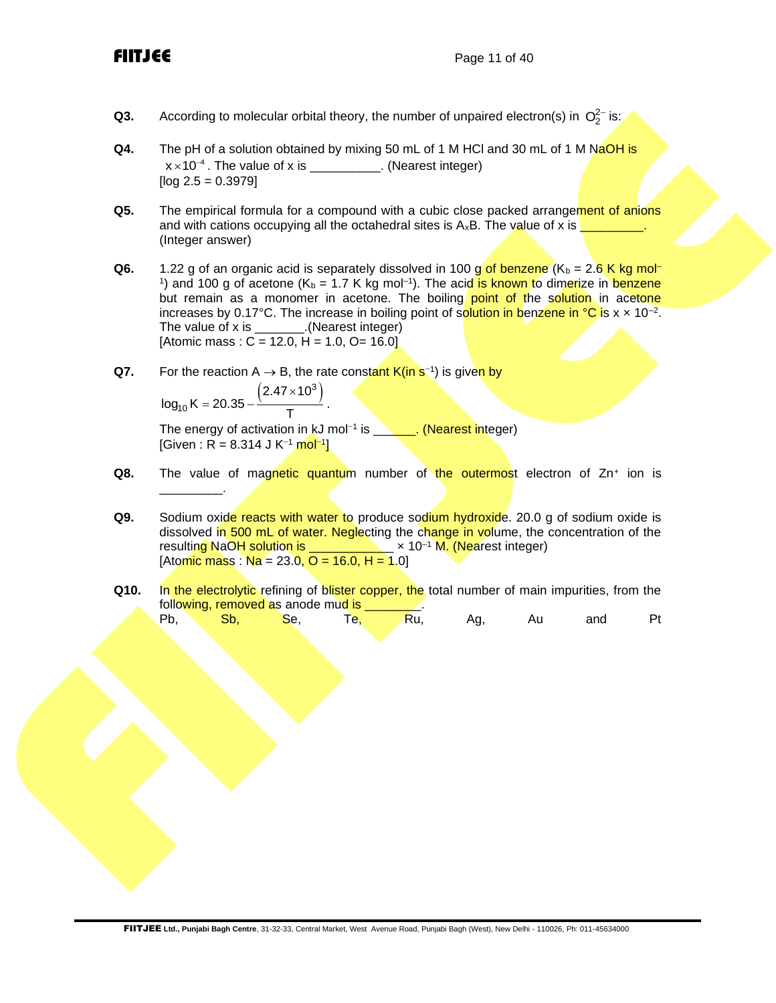- **Q3.** According to molecular orbital theory, the number of unpaired electron(s) in  $O_2^{2-}$  is:
- **Q4.** The pH of a solution obtained by mixing 50 mL of 1 M HCl and 30 mL of 1 M NaOH is  $x \times 10^{-4}$  . The value of x is \_\_\_\_\_\_\_\_\_\_\_. (Nearest integer)  $[$ log 2.5 = 0.3979 $]$
- **Q5.** The empirical formula for a compound with a cubic close packed arrangement of anions and with cations occupying all the octahedral sites is  $A_xB$ . The value of x is  $\overline{a}$ (Integer answer)
- **Q6.** 1.22 g of an organic acid is separately dissolved in 100 g of benzene  $(K_b = 2.6$  K kg mol-<sup>1</sup>) and 100 g of acetone (K<sub>b</sub> = 1.7 K kg mol<sup>-1</sup>). The acid is known to dimerize in benzene but remain as a monomer in acetone. The boiling point of the solution in acetone increases by 0.17°C. The increase in boiling point of s<mark>olution in b</mark>enzene in °C is x × 10<sup>-2</sup>. The value of x is \_\_\_\_\_\_\_.(Nearest integer) [Atomic mass :  $C = 12.0$ ,  $H = 1.0$ ,  $O = 16.0$ ]
- Q7. For the reaction A → B, the rate constant K(in s<sup>-1</sup>) is given by

$$
log_{10} K = 20.35 - \frac{\left(2.47 \times 10^3\right)}{T}.
$$

\_\_\_\_\_\_\_\_\_.

The energy of activation in kJ mol<sup>−1</sup> is \_**\_\_\_\_\_. (Nearest int**eger) [Given : R = 8.314 J K<sup>–1</sup> mol<sup>−1</sup>]

- **Q8.** The value of magnetic quantum number of the outermost electron of Zn+ ion is
- **Q9.** Sodium oxide reacts with water to produce sodium hydroxide. 20.0 g of sodium oxide is dissolved in 500 mL of water. Neglecting the change in volume, the concentration of the resulting NaOH solution is  $\frac{1}{2}$   $\times$  10<sup>-1</sup> M. (Nearest integer)  $[Atomic mass : Na = 23.0, O = 16.0, H = 1.0]$
- **Q10.** In the electrolytic refining of blister copper, the total number of main impurities, from the following, removed as anode mud is

Pb, Sb, Se, Te, Ru, Ag, Au and Pt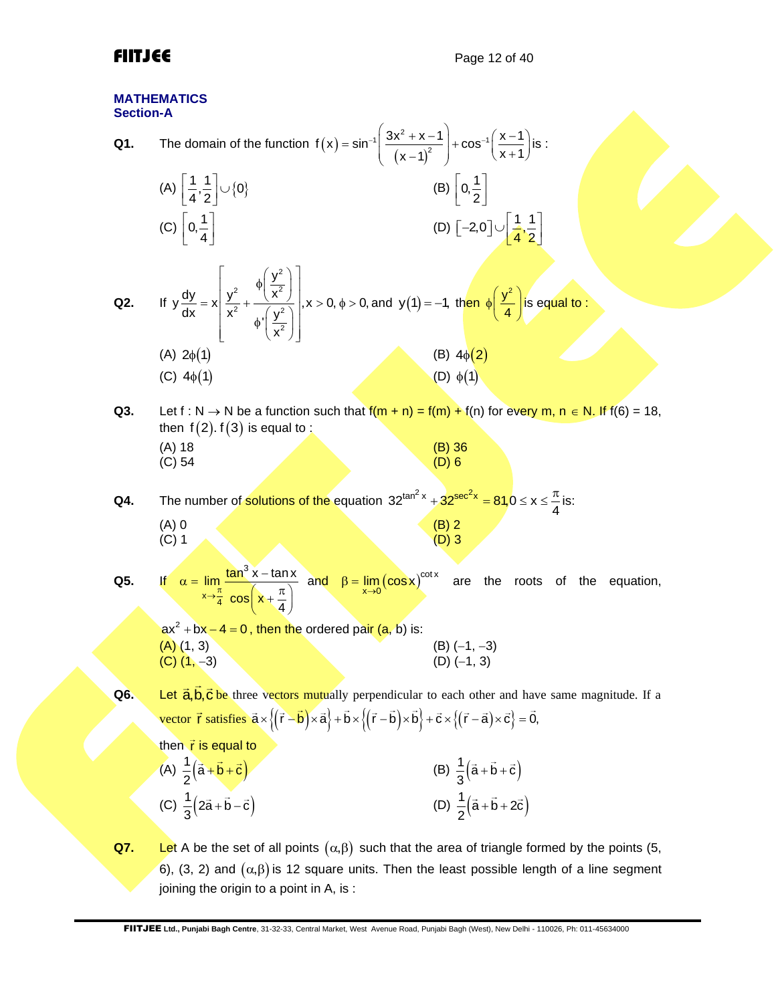## **MATHEMATICS Section-A**

| Section-A |                                                                                                                                                                                                                                                           |                                                                   |
|-----------|-----------------------------------------------------------------------------------------------------------------------------------------------------------------------------------------------------------------------------------------------------------|-------------------------------------------------------------------|
| Q1.       | The domain of the function $f(x) = \sin^{-1}\left(\frac{3x^2 + x - 1}{(x - 1)^2}\right) + \cos^{-1}\left(\frac{x - 1}{x + 1}\right)$ is :                                                                                                                 |                                                                   |
|           | (A) $\left  \frac{1}{4}, \frac{1}{2} \right  \cup \{0\}$                                                                                                                                                                                                  | (B) $0, \frac{1}{2}$                                              |
|           | (C) $\left[0, \frac{1}{4}\right]$                                                                                                                                                                                                                         | (D) $\left[-2,0\right] \cup \left[\frac{1}{4},\frac{1}{2}\right]$ |
| Q2.       | If $y \frac{dy}{dx} = x \left  \frac{y^2}{x^2} + \frac{\phi \left( \frac{y^2}{x^2} \right)}{\phi \left( \frac{y^2}{x^2} \right)} \right , x > 0, \phi > 0, \text{ and } y(1) = -1, \text{ then } \phi \left( \frac{y^2}{4} \right) \text{ is equal to :}$ |                                                                   |
|           | $(A) 2\phi(1)$<br>(C) $4\phi(1)$                                                                                                                                                                                                                          | (B) $4\phi(2)$<br>$(D)$ $\phi(1)$                                 |
|           |                                                                                                                                                                                                                                                           |                                                                   |
| Q3.       | Let f : N $\rightarrow$ N be a function such that $f(m + n) = f(m) + f(n)$ for every m, n $\in$ N. If $f(6) = 18$ ,<br>then $f(2)$ . $f(3)$ is equal to:                                                                                                  |                                                                   |
|           | $(A)$ 18                                                                                                                                                                                                                                                  | $(B)$ 36                                                          |
|           | (C) 54                                                                                                                                                                                                                                                    | $(D)$ 6                                                           |
| Q4.       | The number of solutions of the equation $32^{\tan^2 x} + 32^{\sec^2 x} = 81,0 \le x \le \frac{\pi}{4}$ is:                                                                                                                                                |                                                                   |
|           | $(A)$ 0<br>$(C)$ 1                                                                                                                                                                                                                                        | $(B) 2$<br>$(D) 3$                                                |
|           |                                                                                                                                                                                                                                                           |                                                                   |
| Q5.       | If $\alpha = \lim_{x \to \frac{\pi}{4}} \frac{\tan^3 x - \tan x}{\cos \left(x + \frac{\pi}{4}\right)}$ and $\beta = \lim_{x \to 0} (\cos x)^{\cot x}$ are the                                                                                             | roots of the<br>equation,                                         |
|           | $ax^2 + bx - 4 = 0$ , then the ordered pair (a, b) is:                                                                                                                                                                                                    |                                                                   |
|           | $(A)$ $(1, 3)$<br>$(C)$ $(1, -3)$                                                                                                                                                                                                                         | $(B)$ $(-1, -3)$<br>$(D)$ $(-1, 3)$                               |
| Q6.       | Let $\vec{a}, \vec{b}, \vec{c}$ be three vectors mutually perpendicular to each other and have same magnitude. If a                                                                                                                                       |                                                                   |
|           | vector $\vec{r}$ satisfies $\vec{a} \times \{(\vec{r} - \vec{b}) \times \vec{a}\} + \vec{b} \times \{(\vec{r} - \vec{b}) \times \vec{b}\} + \vec{c} \times \{(\vec{r} - \vec{a}) \times \vec{c}\} = \vec{0}$ ,                                            |                                                                   |
|           | then $\vec{r}$ is equal to                                                                                                                                                                                                                                |                                                                   |
|           | (A) $\frac{1}{2}(\vec{a}+\vec{b}+\vec{c})$                                                                                                                                                                                                                | (B) $\frac{1}{3}(\vec{a} + \vec{b} + \vec{c})$                    |
|           | (C) $\frac{1}{3} (2\vec{a} + \vec{b} - \vec{c})$                                                                                                                                                                                                          | (D) $\frac{1}{2}(\vec{a} + \vec{b} + 2\vec{c})$                   |
| Q7.       | Let A be the set of all points $(\alpha, \beta)$ such that the area of triangle formed by the points (5,                                                                                                                                                  |                                                                   |
|           | 6), (3, 2) and $(\alpha, \beta)$ is 12 square units. Then the least possible length of a line segment                                                                                                                                                     |                                                                   |
|           | joining the origin to a point in A, is:                                                                                                                                                                                                                   |                                                                   |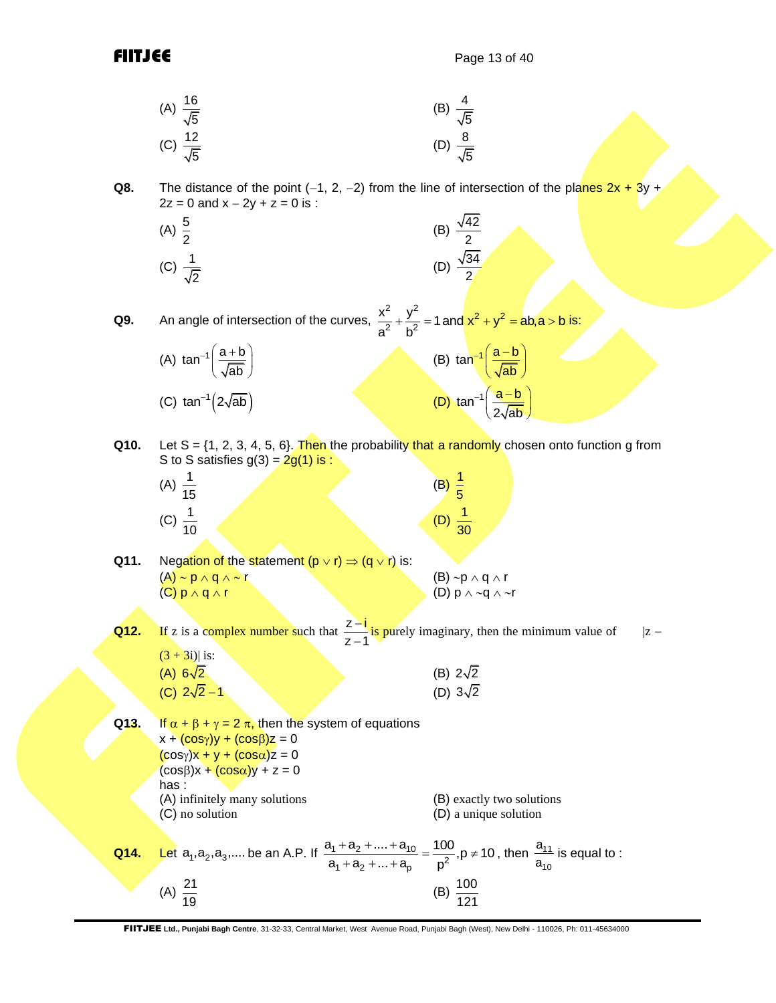(A) 
$$
\frac{16}{\sqrt{5}}
$$
 (B)  $\frac{4}{\sqrt{5}}$   
(C)  $\frac{12}{\sqrt{5}}$  (D)  $\frac{8}{\sqrt{5}}$ 

**Q8.** The distance of the point  $(-1, 2, -2)$  from the line of intersection of the planes  $2x + 3y +$  $2z = 0$  and  $x - 2y + z = 0$  is :

(A) 
$$
\frac{5}{2}
$$
 \t\t (B)  $\frac{\sqrt{42}}{2}$   
(C)  $\frac{1}{\sqrt{2}}$  \t\t (D)  $\frac{\sqrt{34}}{2}$ 

**Q9.** An angle of intersection of the curves,  $\frac{2}{2} + \frac{y^2}{2} = 1$  and  $x^2 + y^2$  $\frac{x^2}{a^2} + \frac{y^2}{b^2} = 1$  and  $\frac{x^2 + y^2}{b^2} = ab, a > b$  $\frac{\lambda}{a^2} + \frac{y}{b}$  $+\frac{y^2}{4.2}$  = 1 and  $x^2 + y^2 = ab$ , a > b is:

| (A) $\tan^{-1}\left(\frac{a+b}{\sqrt{ab}}\right)$ | (B) $\tan^{-1}\left(\frac{a-b}{\sqrt{ab}}\right)$  |
|---------------------------------------------------|----------------------------------------------------|
| (C) $\tan^{-1}(2\sqrt{ab})$                       | (D) $\tan^{-1}\left(\frac{a-b}{2\sqrt{ab}}\right)$ |

**Q10.** Let S =  $\{1, 2, 3, 4, 5, 6\}$ . Then the probability that a randomly chosen onto function g from S to S satisfies  $g(3) = 2g(1)$  is :

| (A) $\frac{1}{15}$ |  | (B)                  |  |
|--------------------|--|----------------------|--|
| (C) $\frac{1}{10}$ |  | $(D)$ $\frac{1}{30}$ |  |

**Q11.** Negation of the statement  $(p \lor r) \Rightarrow (q \lor r)$  is:  $(A) \sim p \land q \land \sim r$  (B)  $\sim p \land q \land r$  $(C) p \wedge q \wedge r$  (D)  $p \wedge \neg q \wedge \neg r$ 

**Q12.** If z is a complex number such that  $\frac{z-i}{z}$  $z - 1$ −  $\frac{1}{-1}$  is purely imaginary, then the minimum value of |z −  $(3 + 3i)$ | is:  $(A) 6\sqrt{2}$ (B)  $2\sqrt{2}$  $(C) 2\sqrt{2}-1$  (D) (D)  $3\sqrt{2}$ 

**Q13.** If  $\alpha + \beta + \gamma = 2\pi$ , then the system of equations  $x + (cosy)y + (cos\beta)z = 0$  $(cosy)x + y + (cos\alpha)z = 0$  $(cos \beta)x + (cos \alpha)y + z = 0$ has : (A) infinitely many solutions (B) exactly two solutions (C) no solution (D) a unique solution **Q14.** Let  $a_1, a_2, a_3, ...$  be an A.P. If  $\frac{a_1 + a_2 + ... + a_{10}}{a_1 + a_2 + ... + a_p} = \frac{100}{p^2}$  $rac{a_1 + a_2 + .... + a_{10}}{a_1 + a_2 + .... + a_p} = \frac{100}{p^2}, p \neq 10$  $\frac{+a_2 + ... + a_{10}}{+a_2 + ... + a_p} = \frac{100}{p^2}$ , p  $\neq$  10, then  $\frac{a_{11}}{a_{10}}$  $10^1$ a  $\frac{a_{11}}{a_{10}}$  is equal to :  $(A) \frac{21}{12}$ 19  $(B) \frac{100}{100}$ 121

FIITJEE **Ltd., Punjabi Bagh Centre**, 31-32-33, Central Market, West Avenue Road, Punjabi Bagh (West), New Delhi - 110026, Ph: 011-45634000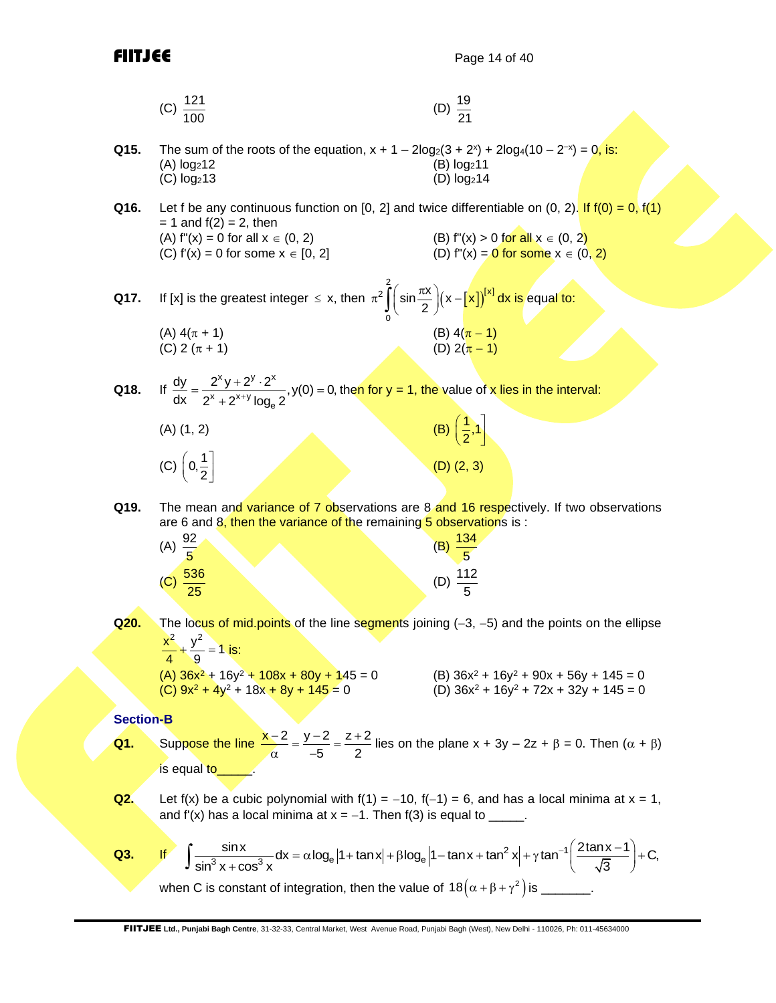$\left(\frac{1}{2},1\right)$ 

(D) (2, 3)

| (C) $\frac{121}{100}$ | (D) $\frac{19}{21}$ |
|-----------------------|---------------------|
|                       |                     |

- **Q15.** The sum of the roots of the equation,  $x + 1 2\log_2(3 + 2^x) + 2\log_4(10 2^{-x}) = 0$ , is: (A)  $log_2 12$  (B)  $log_2 11$ <br>(C)  $log_2 13$  (D)  $log_2 14$  $(C)$  log<sub>2</sub>13
- **Q16.** Let f be any continuous function on [0, 2] and twice differentiable on  $(0, 2)$ . If  $f(0) = 0$ ,  $f(1)$  $= 1$  and  $f(2) = 2$ , then (A)  $f''(x) = 0$  for all  $x \in (0, 2)$  (B)  $f''(x) > 0$  for all  $x \in (0, 2)$ (C)  $f'(x) = 0$  for some  $x \in [0, 2]$  (D)  $f''(x) = 0$  for some  $x \in (0, 2)$
- **Q17.** If [x] is the greatest integer  $\leq$  x, then  $\pi^2$  | | sin $\frac{m}{2}$  | (x  $\frac{r}{2}$  |  $\frac{r}{2}$  $2 \int_{0}^{2} \left( \sin \frac{\pi x}{2} \right) \left( \sqrt{2} \right) \left[ \sqrt{2} \right]$  $\mathbf 0$  $\sin \frac{\pi x}{2}$  $\left(x - \left[x\right]\right)^{\left[x\right]} dx$  $\pi^2 \int\limits_{0}^{2} \biggl(\sin \frac{\pi x}{2}\biggr) \bigl( x - \bigl[ x \bigr] \bigr)^{\! \! \! (x \! \! \! \! \cdot \! \! \! \! \cdot \! \! \! \cdot \! \! \! \! \cdot \! \! \! \cdot \! \! \! \! \cdot \! \! \! \cdot \! \! \! \cdot \! \! \! \cdot \! \! \! \cdot \! \! \! \cdot \! \! \! \cdot \! \! \! \cdot \! \! \! \cdot \! \! \! \cdot \! \! \! \cdot \! \! \! \cdot \! \! \! \cdot \! \! \! \cdot \! \$ (A)  $4(\pi + 1)$  (B)  $4(\pi - 1)$ (C) 2 ( $\pi$  + 1) (D) 2( $\pi$  – 1)
- **Q18.** If  $x_{V+}$  2<sup>y</sup> . 2<sup>x</sup>  $\frac{x}{(x+2^{x+y})}$ log<sub>e</sub>  $\frac{dy}{dx} = \frac{2^{x}y + 2^{y} \cdot 2^{x}}{2^{x}y + 2^{y} \cdot 2^{x}}, y(0) = 0,$  $\frac{y}{dx} = \frac{y}{2^{x} + 2^{x+y} \log_e 2}$  $=\frac{2^{x}y+2^{y}\cdot 2^{x}}{2^{x}+2^{x+y}\log_{e}2}$ , y(0) = 0, c then for y = 1, the value of x lies in the interval:

| (A) (1, 2) | (B) |
|------------|-----|
|            |     |

- $(C)$   $\left(0, \frac{1}{2}\right)$
- **Q19.** The mean and variance of 7 observations are 8 and 16 respectively. If two observations are 6 and  $8$ , then the variance of the remaining  $5$  observations is :

| (A) $\frac{92}{5}$ |                      | <u>134</u><br>(B)      |
|--------------------|----------------------|------------------------|
|                    | (C) $\frac{536}{25}$ | $\frac{112}{5}$<br>(D) |

Q20. The locus of mid.points of the line segments joining (−3, −5) and the points on the ellipse  $\frac{x^2}{1} + \frac{y^2}{2} = 1$  is:

$$
\begin{array}{ll}\n4 & 9 \\
\hline\n\end{array}\n\begin{array}{ll}\n9 & 110 \\
\hline\n\end{array}\n\begin{array}{ll}\n145 = 0 \\
\hline\n\end{array}\n\begin{array}{ll}\n145 = 0 \\
\hline\n\end{array}\n\begin{array}{ll}\n\end{array}\n\begin{array}{ll}\n\end{array}\n\begin{array}{ll}\n\end{array}\n\begin{array}{ll}\n\end{array}\n\begin{array}{ll}\n\end{array}\n\end{array}\n\begin{array}{ll}\n\end{array}\n\begin{array}{ll}\n\end{array}\n\begin{array}{ll}\n\end{array}\n\begin{array}{ll}\n\end{array}\n\end{array}\n\begin{array}{ll}\n\end{array}\n\begin{array}{ll}\n\end{array}\n\begin{array}{ll}\n\end{array}\n\end{array}\n\begin{array}{ll}\n\end{array}\n\begin{array}{ll}\n\end{array}\n\begin{array}{ll}\n\end{array}\n\begin{array}{ll}\n\end{array}\n\end{array}\n\begin{array}{ll}\n\end{array}\n\begin{array}{ll}\n\end{array}\n\end{array}\n\begin{array}{ll}\n\end{array}\n\begin{array}{ll}\n\end{array}\n\begin{array}{ll}\n\end{array}\n\end{array}\n\begin{array}{ll}\n\end{array}\n\end{array}\n\begin{array}{ll}\n\end{array}\n\begin{array}{ll}\n\end{array}\n\end{array}\n\begin{array}{ll}\n\end{array}\n\begin{array}{ll}\n\end{array}\n\begin{array}{ll}\n\end{array}\n\end{array}\n\begin{array}{ll}\n\end{array}\n\end{array}\n\begin{array}{ll}\n\end{array}\n\begin{array}{ll}\n\end{array}\n\end{array}\n\begin{array}{ll}\n\end{array}\n\begin{array}{ll}\n\end{array}\n\end{array}\n\begin{array}{ll}\n\end{array}\n\end{array}\n\begin{array}{ll}\n\end{array}\n\begin{array}{ll}\n\end{array}\n\end{array}\n\begin{array}{ll}\n\end{array}\n\begin{array}{ll}\n\end{array}\n\end{array}\n\begin{array}{ll}\n\end{array}\n\begin{array}{ll}\n\end{array}\n\end{array}\n\begin{array}{ll}\n\end{array}\n\begin{array}{ll
$$

## **Section-B**

- **Q1.** Suppose the line  $\frac{x-2}{2} = \frac{y-2}{2} = \frac{z+2}{2}$  $\frac{1}{5}$  –  $\frac{1}{2}$  $\frac{-2}{\alpha} = \frac{y-2}{-5} = \frac{z+2}{2}$  lies on the plane  $x + 3y - 2z + \beta = 0$ . Then  $(\alpha + \beta)$ is equal to
- **Q2.** Let f(x) be a cubic polynomial with f(1) = -10, f(-1) = 6, and has a local minima at  $x = 1$ , and f'(x) has a local minima at  $x = -1$ . Then f(3) is equal to
- **Q3.** If e a cubic polynomial with f(1) = -10, f(-1) = 6, and has a local minima at x = 1<br>has a local minima at x = -1. Then f(3) is equal to \_\_\_\_\_.<br> $\frac{\sin x}{3 \times + \cos^3 x} dx = \alpha \log_e |1 + \tan x| + \beta \log_e |1 - \tan x + \tan^2 x| + \gamma \tan^{-1} \left( \frac{2 \tan x - 1}{\sqrt{3}} \right) +$ x) has a local minima at  $x = -1$ . Then  $I(s)$  is equal to \_\_\_\_\_.<br>  $\frac{\sin x}{\sin^3 x + \cos^3 x} dx = \alpha \log_e |1 + \tan x| + \beta \log_e |1 - \tan x + \tan^2 x| + \gamma \tan^{-1} \left( \frac{2 \tan x}{\sqrt{3}} \right)$ (x) be a cubic polynomial with  $f(1) = -10$ ,  $f(-1) = 6$ , and has a local minima at x = 1,<br>  $f'(x)$  has a local minima at x = -1. Then  $f(3)$  is equal to \_\_\_\_\_.<br>  $\int \frac{\sin x}{\sin^3 x + \cos^3 x} dx = \alpha \log_e |1 + \tan x| + \beta \log_e |1 - \tan x + \tan^2 x| + \gamma \tan^{-1} \left$ when C is constant of integration, then the value of 18 $\left(\alpha + \beta + \gamma^2\right)$  is \_\_\_\_\_\_\_.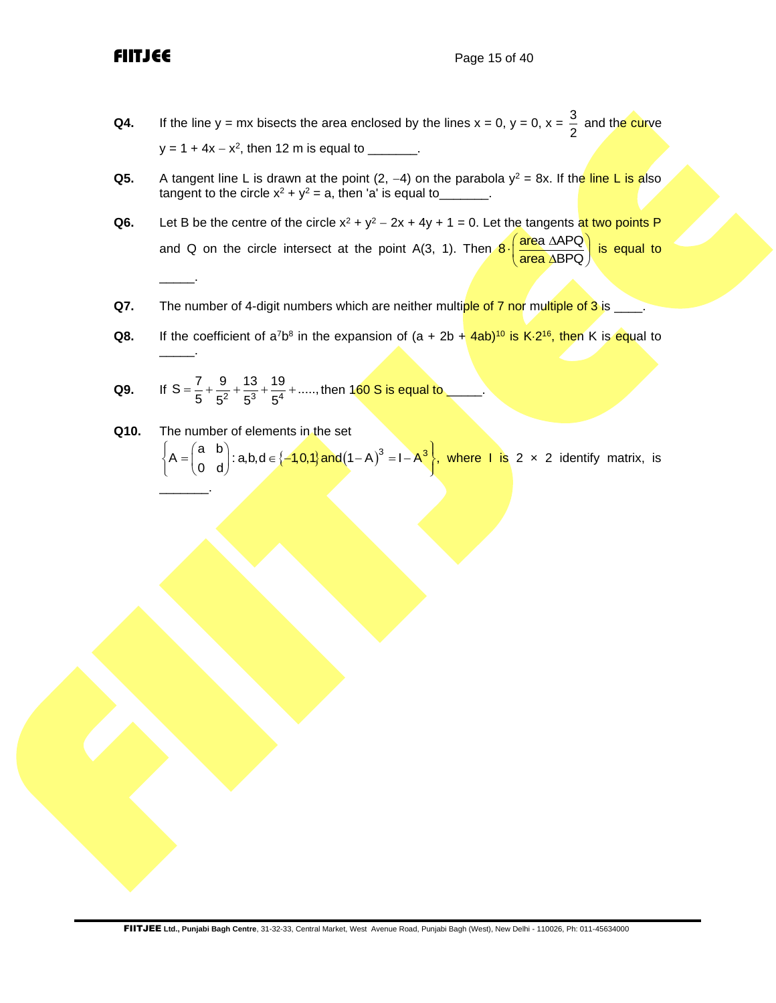\_\_\_\_\_.

- **Q4.** If the line y = mx bisects the area enclosed by the lines  $x = 0$ ,  $y = 0$ ,  $x = \frac{3}{6}$ 2 and the curve y = 1 + 4x – x<sup>2</sup>, then 12 m is equal to \_\_\_\_\_\_\_.
- **Q5.** A tangent line L is drawn at the point (2, –4) on the parabola y<sup>2</sup> = 8x. If th<mark>e line L is a</mark>lso tangent to the circle  $x^2 + y^2 = a$ , then 'a' is equal to\_\_\_\_\_\_\_.
- **Q6.** Let B be the centre of the circle  $x^2 + y^2 2x + 4y + 1 = 0$ . Let the tangents at two points P and Q on the circle intersect at the point A(3, 1). Then  $8 \cdot \left( \frac{\text{area } \Delta \text{APQ}}{\text{SRO}} \right)$ area ABPQ  $\cdot \left( \frac{\text{area } \triangle \text{APQ}}{\text{area } \triangle \text{B} \text{PQ}} \right)$  is equal to
- **Q7.** The number of 4-digit numbers which are neither multiple of 7 nor multiple of 3 is \_\_\_\_.
- **Q8.** If the coefficient of a<sup>7</sup>b<sup>8</sup> in the expansion of (a + 2b +  $4ab$ <sup>10</sup> is K $\cdot$ 2<sup>16</sup>, then K is equal to \_\_\_\_\_.
- **Q9.** If  $S = \frac{7}{5} + \frac{9}{5^2} + \frac{13}{5^3} + \frac{19}{5^4} + \dots$ , then 160 S is equal to \_\_\_\_\_.
- **Q10.** The number of elements in the set The number of elements in the set<br>  $\begin{cases} A = \begin{pmatrix} a & b \\ 0 & d \end{pmatrix} : a, b, d \in \{-1,0,1\} \text{ and } (1-A)^3 = I - A^3 \end{cases}$ , whe where  $\mathsf{I}$  is 2  $\times$  2 identify matrix, is \_\_\_\_\_\_\_.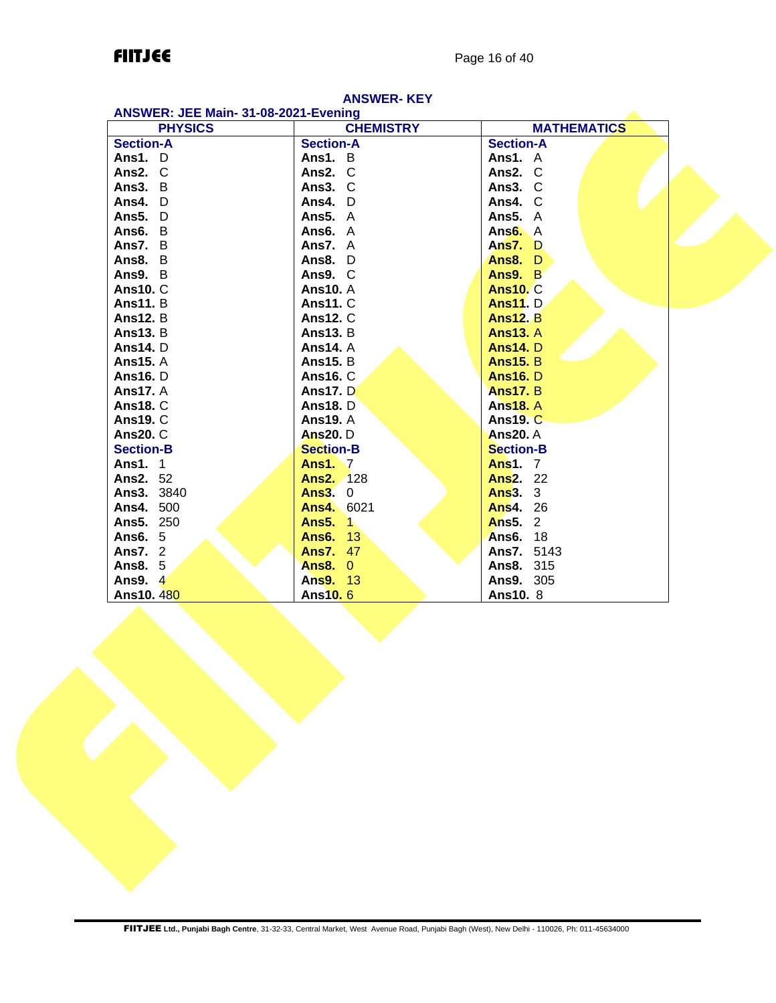## **FIITJEE** Page 16 of 40

| ANSWER: JEE Main- 31-08-2021-Evening |                   |                      |  |
|--------------------------------------|-------------------|----------------------|--|
| <b>PHYSICS</b>                       | <b>CHEMISTRY</b>  | <b>MATHEMATICS</b>   |  |
| <b>Section-A</b>                     | <b>Section-A</b>  | <b>Section-A</b>     |  |
| Ans1. D                              | Ans1. B           | Ans1. A              |  |
| Ans2. C                              | Ans2. C           | Ans2. C              |  |
| Ans3. B                              | Ans3. C           | Ans3. C              |  |
| Ans4. D                              | Ans4. D           | Ans4. C              |  |
| Ans5. D                              | Ans $5. A$        | Ans $5. A$           |  |
| Ans6. B                              | Ans6. A           | Ans <sub>6</sub> . A |  |
| Ans7. B                              | Ans7. A           | Ans $7.$ D           |  |
| Ans $8. B$                           | Ans8. $D$         | Ans8. D              |  |
| Ans9. B                              | Ans9. C           | Ans9. B              |  |
| <b>Ans10. C</b>                      | <b>Ans10.</b> A   | <b>Ans10. C</b>      |  |
| <b>Ans11.</b> B                      | <b>Ans11. C</b>   | <b>Ans11.</b> D.     |  |
| <b>Ans12. B</b>                      | <b>Ans12. C</b>   | <b>Ans12. B</b>      |  |
| <b>Ans13. B</b>                      | <b>Ans13. B</b>   | <b>Ans13. A</b>      |  |
| <b>Ans14.</b> D                      | <b>Ans14.</b> A   | <b>Ans14.</b> D      |  |
| <b>Ans15.</b> A                      | <b>Ans15. B</b>   | <b>Ans15. B</b>      |  |
| <b>Ans16.</b> D                      | <b>Ans16. C</b>   | <b>Ans16.</b> D      |  |
| <b>Ans17.</b> A                      | <b>Ans17.</b> D   | <b>Ans17. B</b>      |  |
| <b>Ans18. C</b>                      | <b>Ans18.</b> D   | <b>Ans18. A</b>      |  |
| <b>Ans19. C</b>                      | <b>Ans19. A</b>   | <b>Ans19. C</b>      |  |
| <b>Ans20. C</b>                      | <b>Ans20.</b> D   | <b>Ans20.</b> A      |  |
| <b>Section-B</b>                     | <b>Section-B</b>  | <b>Section-B</b>     |  |
| <b>Ans1.</b> 1                       | <b>Ans1.</b> 7    | <b>Ans1.</b> 7       |  |
| <b>Ans2. 52</b>                      | <b>Ans2. 128</b>  | <b>Ans2. 22</b>      |  |
| <b>Ans3. 3840</b>                    | Ans $3.0$         | <b>Ans3. 3</b>       |  |
| Ans4. 500                            | <b>Ans4. 6021</b> | <b>Ans4. 26</b>      |  |
| Ans5. 250                            | <b>Ans5. 1</b>    | <b>Ans5. 2</b>       |  |
| <b>Ans6.</b> 5                       | <b>Ans6. 13</b>   | <b>Ans6. 18</b>      |  |
| <b>Ans7. 2</b>                       | <b>Ans7. 47</b>   | <b>Ans7. 5143</b>    |  |
| <b>Ans8. 5</b>                       | <b>Ans8. 0</b>    | <b>Ans8. 315</b>     |  |
| Ans9. 4                              | Ans9. 13          | Ans9. 305            |  |
| Ans10.480                            | <b>Ans10.6</b>    | <b>Ans10.</b> 8      |  |

## **ANSWER- KEY**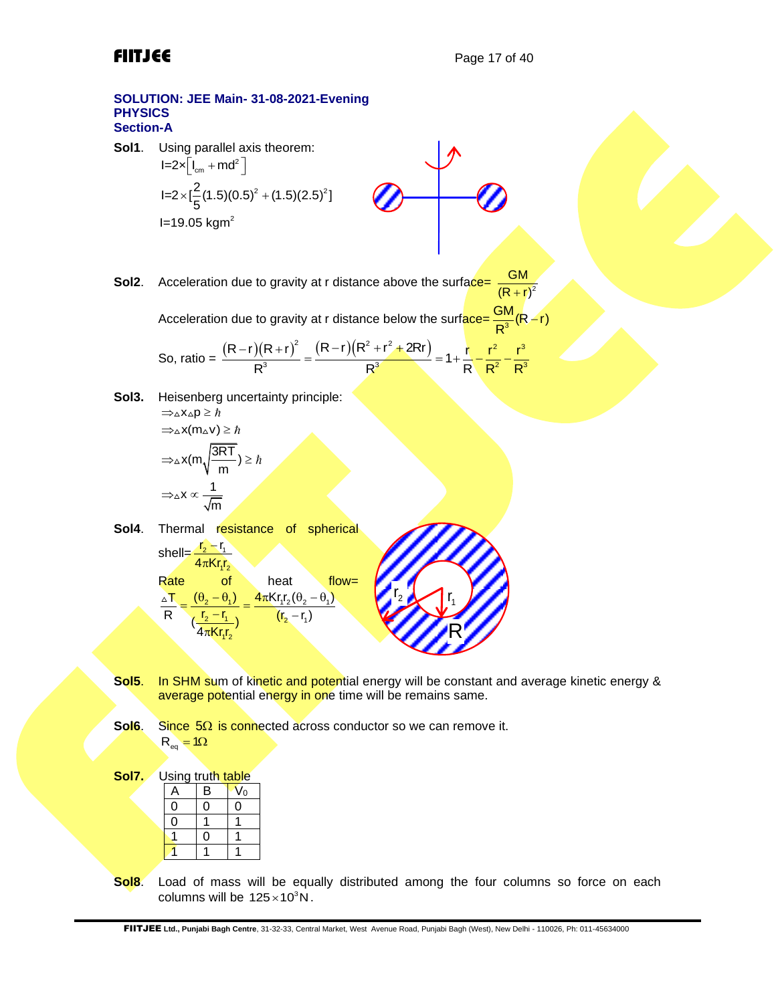## **SOLUTION: JEE Main- 31-08-2021-Evening PHYSICS Section-A**

**Sol1**. Using parallel axis theorem:  $I=2\times\lfloor I_{cm}+md^2\rfloor$  $1=2\times[\frac{2}{5}(1.5)(0.5)^{2}+(1.5)(2.5)^{2}]$  $I=19.05$  kgm<sup>2</sup>

$$
\textcolor{red}{\mathscr{A}} \rightarrow \textcolor{red}{\mathscr{A}}
$$

 $\mathbf{L}$ 

**Sol2.** Acceleration due to gravity at r distance above the surface=  $(R + r)^2$ GM

Acceleration due to gravity at r distance below the surf<mark>ace=  $\frac{GM}{P^3}$ (R ~r)</mark> R −

Acceleration due to gravity at r distance below the surface 
$$
=\frac{R^3}{R^3}(R-r)
$$
  
So, ratio  $=\frac{(R-r)(R+r)^2}{R^3} = \frac{(R-r)(R^2+r^2+2Rr)}{R^3} = 1+\frac{r^2}{R^2}-\frac{r^3}{R^3}$ 

**Sol3.** Heisenberg uncertainty principle:  $\Rightarrow \land$ x $\land$ n >  $\hbar$ 

$$
\Rightarrow \ln \frac{1}{2} = \frac{\pi}{2}
$$
  
\n
$$
\Rightarrow \Delta x (m_{\Delta} v) \geq \hbar
$$
  
\n
$$
\Rightarrow \Delta x (m \sqrt{\frac{3RT}{m}}) \geq \hbar
$$
  
\n
$$
\Rightarrow \Delta x \propto \frac{1}{\sqrt{m}}
$$

- Sol4. Thermal resistance of spherical shell= $\frac{r_2 - r_1}{r_1}$  $4\pi$ Kr<sub>1</sub>r<sub>2</sub> Rate of heat flow=  $\frac{\pi}{\Gamma} = \frac{(\theta_2 - \theta_1)}{(\theta_2 - \theta_1)} = \frac{4\pi Kr_1r_2(\theta_2 - \theta_1)}{r_1r_2(r_2 + \theta_2 - \theta_1)}$  $\frac{1}{2} - \frac{r_1}{r_2}$   $(r_2 - r_1)$  $\frac{1}{4\pi K r_1 r_2}$  $rac{r_1}{R} = \frac{\frac{(v_2 - v_1)}{(r_2 - r_1)}}{\frac{(r_2 - r_1)}{(r_1 - r_1)}} = \frac{4\pi r_1 r_1 r_2 (v_2)}{(r_2 - r_1)}$  $(\theta, -\theta)$
- **Sol5**. In SHM sum of kinetic and potential energy will be constant and average kinetic energy & average potential energy in one time will be remains same.

r

1

R

2  $\sqrt{1}$ 

Sol6. Since 5Ω is connected across conductor so we can remove it.  $R_{\text{eq}} = 10$ 

**Sol7.** Using truth table

| -<br>. . 9<br> |   |   |    |
|----------------|---|---|----|
|                | д | B | Vo |
|                |   | L |    |
|                |   |   |    |
|                |   |   |    |
|                |   |   |    |

**Sol8**. Load of mass will be equally distributed among the four columns so force on each columns will be  $125 \times 10^3$ N.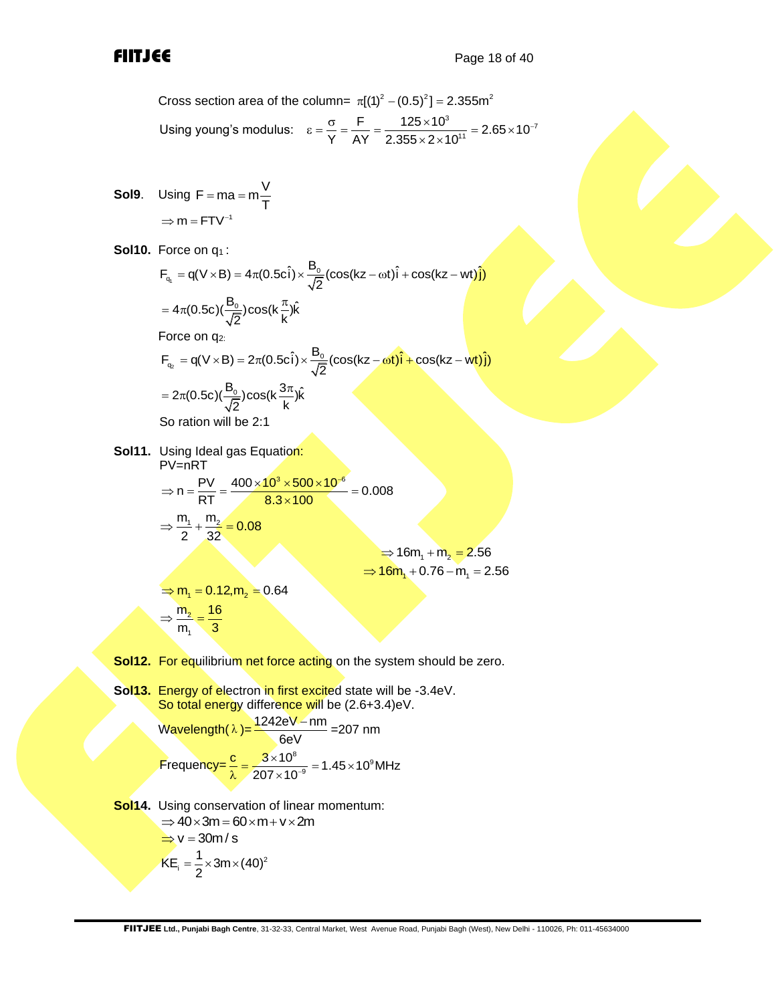Cross section area of the column=  $\pi[(1)^2 - (0.5)^2] = 2.355 \text{m}^2$ Using young's modulus:  $\varepsilon = \frac{\sigma}{Y} = \frac{F}{AY} = \frac{125 \times 10^3}{2.355 \times 2 \times 10^{11}} = 2.65 \times 10^{-7}$  $\text{softmax}$  π<sub>[(1)</sub> − (0.5) ] = 2.355m<br>  $\epsilon = \frac{\sigma}{\gamma} = \frac{F}{AY} = \frac{125 \times 10^3}{2.355 \times 2 \times 10^{11}} = 2.65 \times 10^{-7}$ 

Sol9. Using F = ma = m
$$
\frac{V}{T}
$$
  
\n $\Rightarrow$  m = FTV<sup>-1</sup>

**Sol10.** Force on q<sub>1</sub>:

**Sol10.** Force on q<sub>1</sub>:  
\n
$$
F_{q_1} = q(V \times B) = 4\pi (0.5c\hat{i}) \times \frac{B_0}{\sqrt{2}} (\cos(kz - \omega t)\hat{i} + \cos(kz - wt)\hat{j})
$$
\n
$$
= 4\pi (0.5c)(\frac{B_0}{\sqrt{2}})\cos(k\frac{\pi}{k})\hat{k}
$$
\nForce on q<sub>2</sub>:  
\n
$$
F_{q_2} = q(V \times B) = 2\pi (0.5c\hat{i}) \times \frac{B_0}{\sqrt{2}} (\cos(kz - \omega t)\hat{i} + \cos(kz - wt)\hat{j})
$$
\n
$$
= 2\pi (0.5c)(\frac{B_0}{\sqrt{2}})\cos(k\frac{3\pi}{k})\hat{k}
$$

So ration will be 2:1

**Sol11.** Using Ideal gas Equation: PV=nRT

$$
PV=nRT
$$
\n⇒ n =  $\frac{PV}{RT} = \frac{400 \times 10^3 \times 500 \times 10^{-6}}{8.3 \times 100} = 0.008$   
\n⇒  $\frac{m_1}{2} + \frac{m_2}{32} = 0.08$   
\n⇒ 16m<sub>1</sub> + m<sub>2</sub> = 2.56  
\n⇒  $m_1 = 0.12, m_2 = 0.64$   
\n⇒  $\frac{m_2}{m_1} = \frac{16}{3}$ 

- **Sol12.** For equilibrium net force acting on the system should be zero.
- **Sol13.** Energy of electron in first excited state will be -3.4eV. So total energy difference will be (2.6+3.4)eV.

$$
\text{Wavelength}(\lambda) = \frac{1242 \text{eV} - \text{nm}}{6 \text{eV}} = 207 \text{ nm}
$$
\n
$$
\text{Frequency} = \frac{\text{c}}{\lambda} = \frac{3 \times 10^8}{207 \times 10^{-9}} = 1.45 \times 10^9 \text{MHz}
$$

**Sol14.** Using conservation of linear momentum:  $\Rightarrow$  40  $\times$  3m = 60  $\times$  m + v  $\times$  2m  $\Rightarrow v = 30m/s$  $\lambda_i = \frac{1}{2} \times 3m \times (40)^2$  $KE_i = \frac{1}{2} \times 3m \times (40)$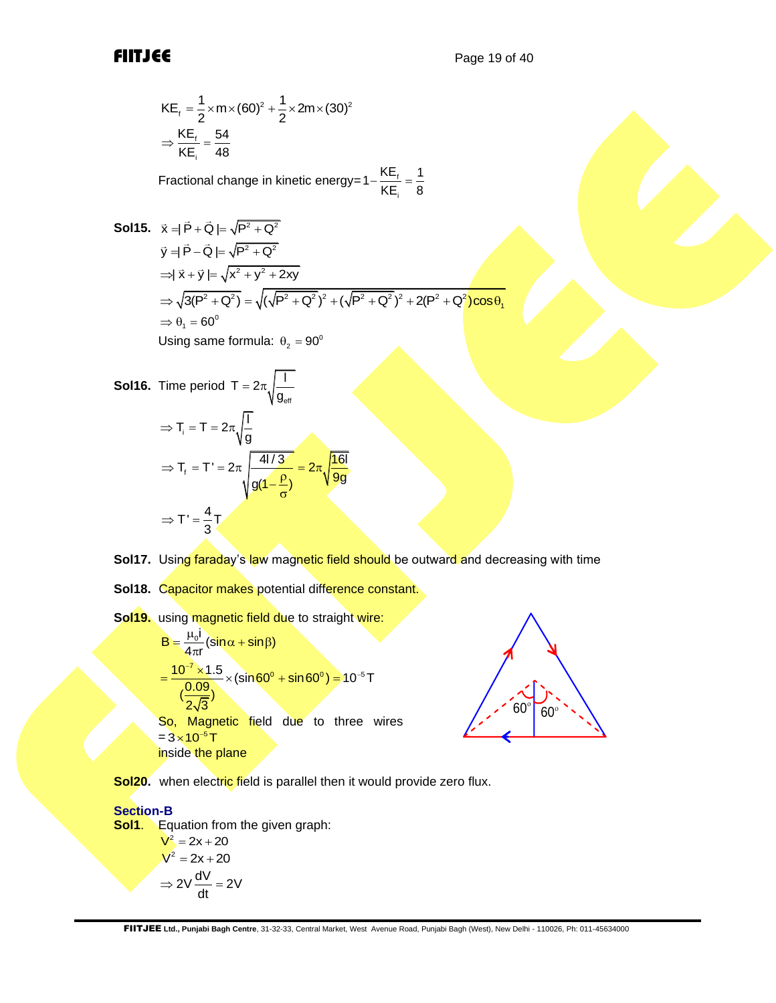$$
KE_{f} = \frac{1}{2} \times m \times (60)^{2} + \frac{1}{2} \times 2m \times (30)^{2}
$$

$$
\Rightarrow \frac{KE_{f}}{KE_{i}} = \frac{54}{48}
$$

Fractional change in kinetic energy= $1-\frac{1}{16}$ i  $1 - \frac{KE_f}{KE_i} = \frac{1}{8}$ 

**Sol15.** 
$$
\vec{x} = |\vec{P} + \vec{Q}| = \sqrt{P^2 + Q^2}
$$
  
\n $\vec{y} = |\vec{P} - \vec{Q}| = \sqrt{P^2 + Q^2}$   
\n $\Rightarrow |\vec{x} + \vec{y}| = \sqrt{x^2 + y^2 + 2xy}$   
\n $\Rightarrow \sqrt{3(P^2 + Q^2)} = \sqrt{(\sqrt{P^2 + Q^2})^2 + (\sqrt{P^2 + Q^2})^2 + 2(P^2 + Q^2)\cos\theta_1}$   
\n $\Rightarrow \theta_1 = 60^\circ$   
\nUsing same formula:  $\theta_2 = 90^\circ$ 

**Sol16.** Time period 
$$
T = 2\pi \sqrt{\frac{1}{g_{eff}}}
$$
  
\n
$$
\Rightarrow T_i = T = 2\pi \sqrt{\frac{1}{g}}
$$
\n
$$
\Rightarrow T_f = T' = 2\pi \sqrt{\frac{4l/3}{g(1-\frac{p}{\sigma})}} = 2\pi \sqrt{\frac{16l}{9g}}
$$
\n
$$
\Rightarrow T' = \frac{4}{3}T
$$

**Sol17.** Using faraday's law magnetic field should be outward and decreasing with time

**Sol18.** Capacitor makes potential difference constant.

Sol19. using magnetic field due to straight wire:

$$
B = \frac{\mu_0 i}{4\pi r} (\sin \alpha + \sin \beta)
$$
  
=  $\frac{10^{-7} \times 1.5}{(\frac{0.09}{2\sqrt{3}})}$  × (sin 60° + sin 60°) = 10<sup>-5</sup> T  
So, Magnetic field due to three wires  
=  $3 \times 10^{-5}$  T  
inside the plane



**Sol20.** when electric field is parallel then it would provide zero flux.

## **Section-B**

**Sol1**. Equation from the given graph:

 $V^2 = 2x + 20$  $V^2 = 2x + 20$  $2V \frac{dV}{dt} = 2V$  $\Rightarrow$  2V  $\frac{uv}{v} =$  :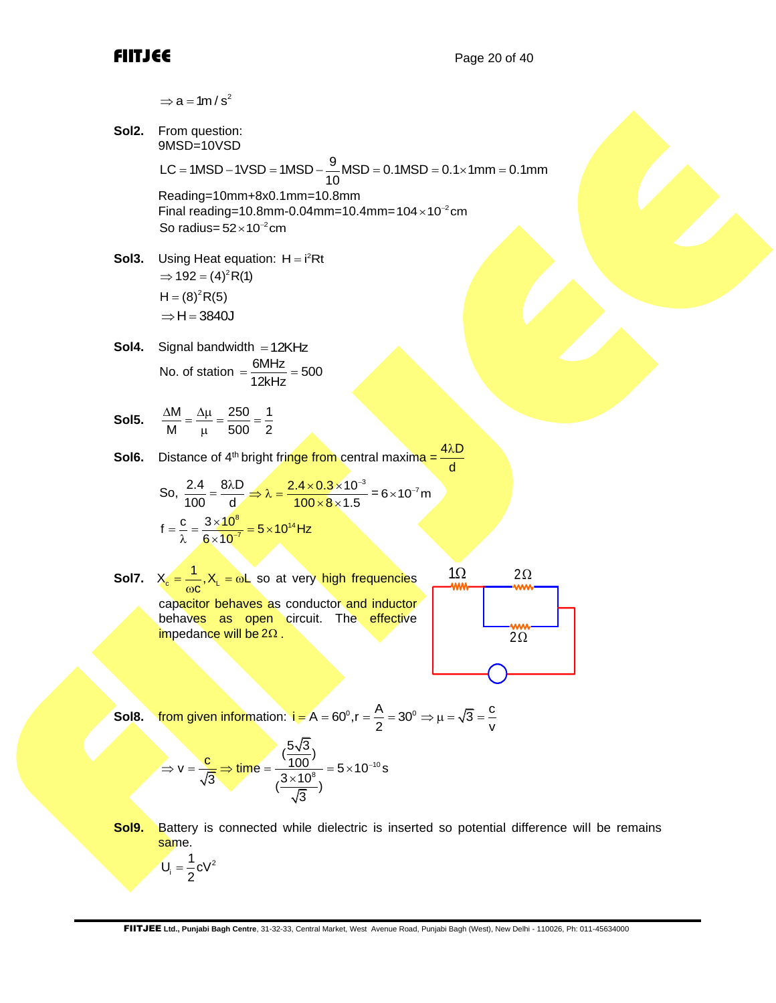**Sol2.** From question: 9MSD=10VSD

9 From question:<br>9MSD=10VSD<br>LC = 1MSD – 1VSD = 1MSD – <mark>9</mark>MSD = 0.1MSD = 0.1×1mm = 0.1mm

Reading=10mm+8x0.1mm=10.8mm Final reading=10.8mm-0.04mm=10.4mm=104 $\times$ 10<sup>-2</sup>cm So radius= $52\times 10^{-2}$ cm

- **Sol3.** Using Heat equation:  $H = i^2 Rt$  $\Rightarrow$  192 = (4)<sup>2</sup> R(1)  $H = (8)^2 R(5)$  $\Rightarrow$  H = 3840J
- **Sol4.** Signal bandwidth = 12KHz No. of station  $=$   $\frac{6MHz}{12kHz} = 500$  $=\frac{900+12}{100+1}=$

**Sol5.** M  $\Delta \mu$  250 1 M  $^{-}$   $\mu$   $^{-}$  500  $^{-}$  2  $\frac{\Delta M}{M} = \frac{\Delta \mu}{\mu} = \frac{250}{500} = \frac{1}{2}$ 

**Sol6.** Distance of 4<sup>th</sup> bright fringe from central maxima =  $4\lambda D$ d

So, 
$$
\frac{2.4}{100} = \frac{8\lambda D}{d} \implies \lambda = \frac{2.4 \times 0.3 \times 10^{-3}}{100 \times 8 \times 1.5} = 6 \times 10^{-7} m
$$

$$
f = \frac{c}{\lambda} = \frac{3 \times 10^8}{6 \times 10^{-7}} = 5 \times 10^{14} Hz
$$

**Sol7.**  $X_c = \frac{1}{200} X_L$  $X_c = \frac{1}{\omega c}$ ,  $X_L = \omega L$  so at very high frequencies capacitor behaves as conductor and inductor behaves as open circuit. The effective impedance will be 2 $\Omega$  .  $1\Omega$  $2\Omega$ <u>2Ω</u>

$$
\begin{array}{c|c}\n1\Omega & 2\Omega \\
\hline\n\text{mm} & \text{mm} \\
\hline\n2\Omega\n\end{array}
$$

Sol2. From question:

\n9MSD=10VSD = 1MSD – 
$$
\frac{9}{10}
$$
MSD = 0.1MSD – 0.1×1mm = 0.1mm

\nReading=10.8mm

\nFinal reading=10.8mm – 0.4mm = 10.4mm = 104×10<sup>-2</sup> cm

\nSo radius = 52×10<sup>-2</sup> cm

\nSo radius = 52×10<sup>-2</sup> cm

\nSol3. Using Heat equation:

\nH = i<sup>2</sup>(Rt)

\nH = (a)<sup>2</sup>(R(t))

\nH = (a)<sup>2</sup>(R(t))

\nH = (a)<sup>2</sup>(R(t))

\nH = (a)<sup>2</sup>(R(t))

\nSo,  $\frac{\Delta M}{M} = \frac{\Delta \mu}{\mu} = \frac{250}{500} = \frac{1}{2}$ 

\nSol6. Distance of 4<sup>m</sup> bright fringe from central maxima =  $\frac{4\lambda D}{40}$ 

\nSo,  $\frac{2.4}{100} = \frac{8\lambda D}{6 \times 10^{-\pi}} = \frac{2 \times 10^{3} \times 10^{-3}}{100 \times 8 \times 1.5} = 6 \times 10^{-7} m$ 

\nf =  $\frac{c}{\lambda} = \frac{3 \times 10^{9}}{6 \times 10^{-\pi}} = 5 \times 10^{14} Hz$ 

\nSol7. X<sub>6</sub> =  $\frac{1}{\text{no} \times 1} \times \frac{1}{\text{no} \times 1} = \text{no.} \times \text{no.} \times \text{or } \text{or } \text{to } \text{r} \text{to.} \times \text{no.} \times \text{no.} \times \text{no.} \times \text{no.} \times \text{no.} \times \text{no.} \times \text{no.} \times \text{no.} \times \text{no.} \times \text{no.} \times \text{no.} \times \text{no.} \times \text{no.} \times \text{no.} \times \text{no.} \times \text{no.} \times \text{no.} \times \text{no.}$ 

**Sol9.** Battery is connected while dielectric is inserted so potential difference will be remains same.

 $i = \frac{1}{2}CV^2$  $U_i = \frac{1}{2}CV$ 2 =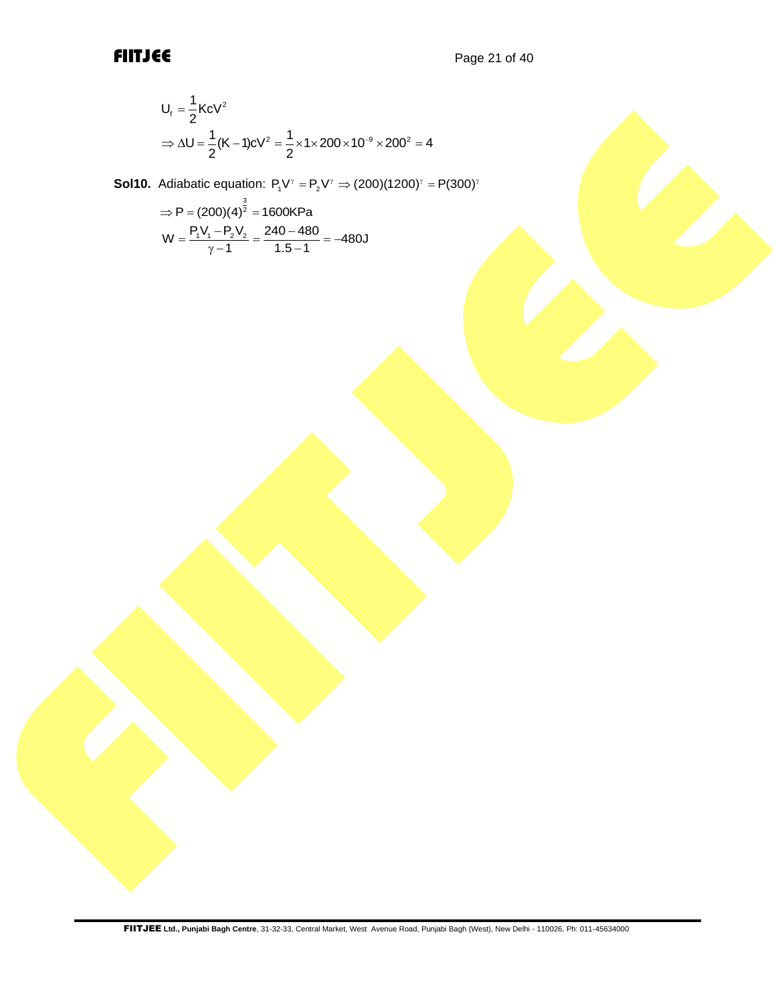$$
U_{f} = \frac{1}{2} KcV^{2}
$$
  
\n
$$
\Rightarrow \Delta U = \frac{1}{2} (K - 1)cV^{2} = \frac{1}{2} \times 1 \times 200 \times 10^{-9} \times 200^{2} = 4
$$

**Sol10.** Adiabatic equation:  $P_1V^{\gamma} = P_2V^{\gamma} \Rightarrow (200)(1200)^{\gamma} = P(300)^{\gamma}$ 

$$
\Rightarrow P = (200)(4)^{\frac{3}{2}} = 1600 \text{KPa}
$$

$$
W = \frac{P_1 V_1 - P_2 V_2}{\gamma - 1} = \frac{240 - 480}{1.5 - 1} = -480 \text{J}
$$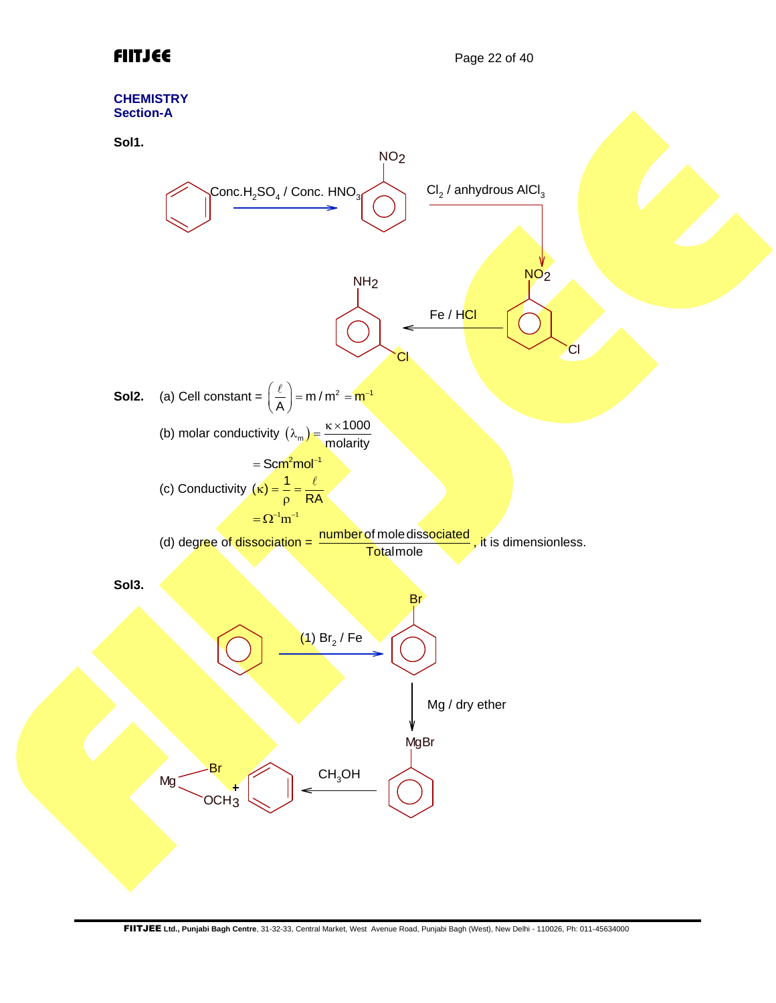

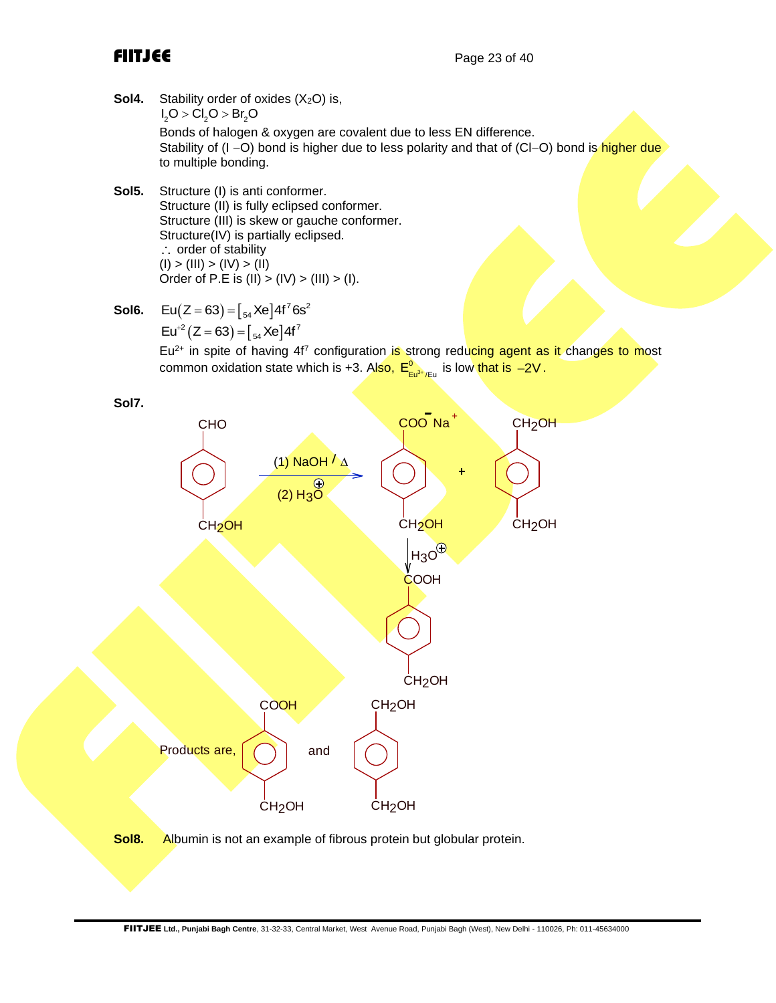- **Sol4.** Stability order of oxides (X<sub>2</sub>O) is,  $I_2O > Cl_2O > Br_2O$ Bonds of halogen & oxygen are covalent due to less EN difference. Stability of (I −O) bond is higher due to less polarity and that of (CI−O) bond is higher due to multiple bonding.
- **Sol5.** Structure (I) is anti conformer. Structure (II) is fully eclipsed conformer. Structure (III) is skew or gauche conformer. Structure(IV) is partially eclipsed. ∴ order of stability  $(I)$  >  $(III)$  >  $(IV)$  >  $(II)$ Order of P.E is  $(II) > (IV) > (III) > (I)$ .
- **Sol6.**  $Eu(Z = 63) = \int_{54} Xe \cdot 4f^7 6s^2$  $Eu^{-2}(Z = 63) = \int_{54} Xe \, 4f^7$

 $Eu<sup>2+</sup>$  in spite of having 4f<sup>7</sup> configuration is strong reducing agent as it changes to most common oxidation state which is +3. Al<mark>so, E°<sub>Eu<sup>s</sup>\*/Eu</sub>ris low that is −2V.</mark>

**Sol7.**

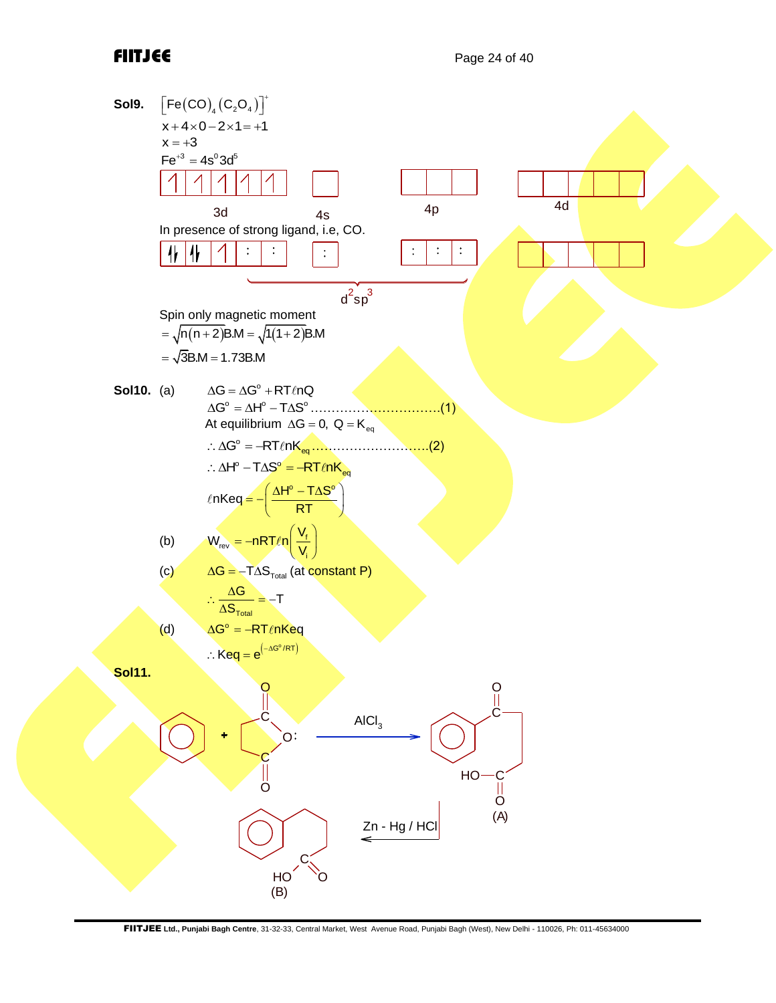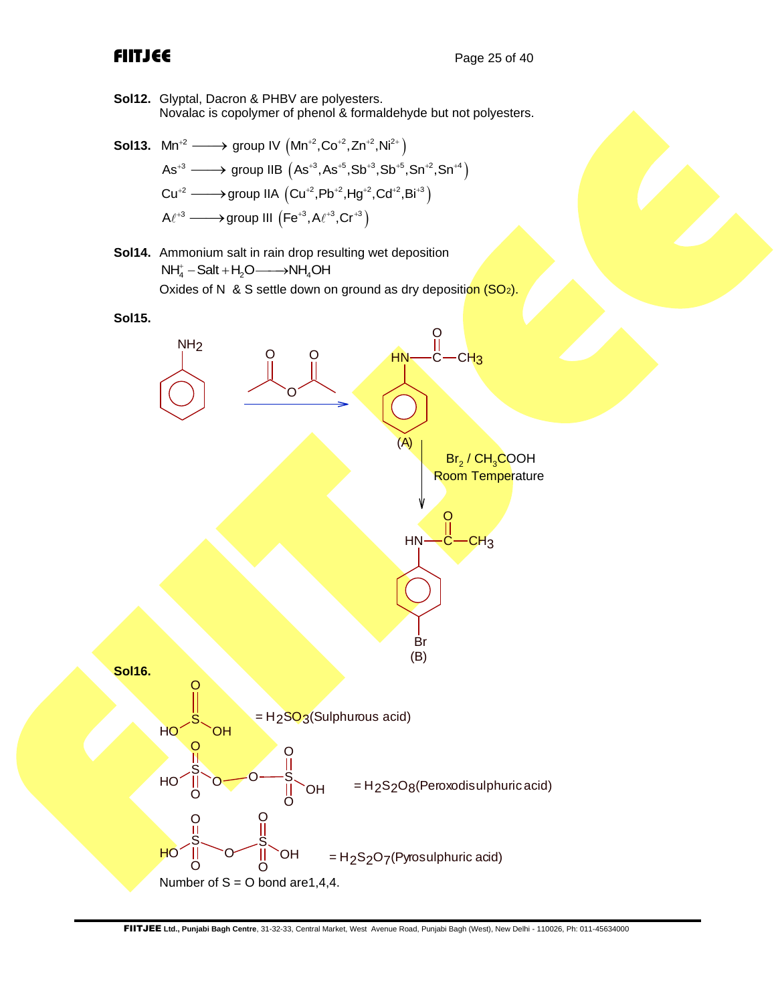**Sol12.** Glyptal, Dacron & PHBV are polyesters. Novalac is copolymer of phenol & formaldehyde but not polyesters.

- **Sol13.**  $\text{Mn}^{+2} \longrightarrow \text{group IV } (\text{Mn}^{+2}, \text{Co}^{+2}, \text{Zn}^{+2}, \text{Ni}^{2+})$  $\mathsf{As}^{*3} \longrightarrow \mathsf{group} \ \mathsf{IIB} \ \bigl( \mathsf{As}^{*3}, \mathsf{As}^{*5}, \mathsf{Sb}^{*3}, \mathsf{Sb}^{*5}, \mathsf{Sn}^{*2}, \mathsf{Sn}^{*4} \bigr)$  $Cu^{+2} \longrightarrow$ group IIA  $\left(Cu^{+2},Pb^{+2},Hg^{+2},Cd^{+2},Bi^{+3}\right)$  $A\ell^{+3} \longrightarrow$ group III  $\left(\mathsf{Fe}^{+3},\mathsf{A}\ell^{+3},\mathsf{Cr}^{+3}\right)$
- **Sol14.** Ammonium salt in rain drop resulting wet deposition  $NH_4^+ - Salt + H_2O \longrightarrow NH_4OH$ Oxides of N & S settle down on ground as dry deposition  $(SO_2)$ .

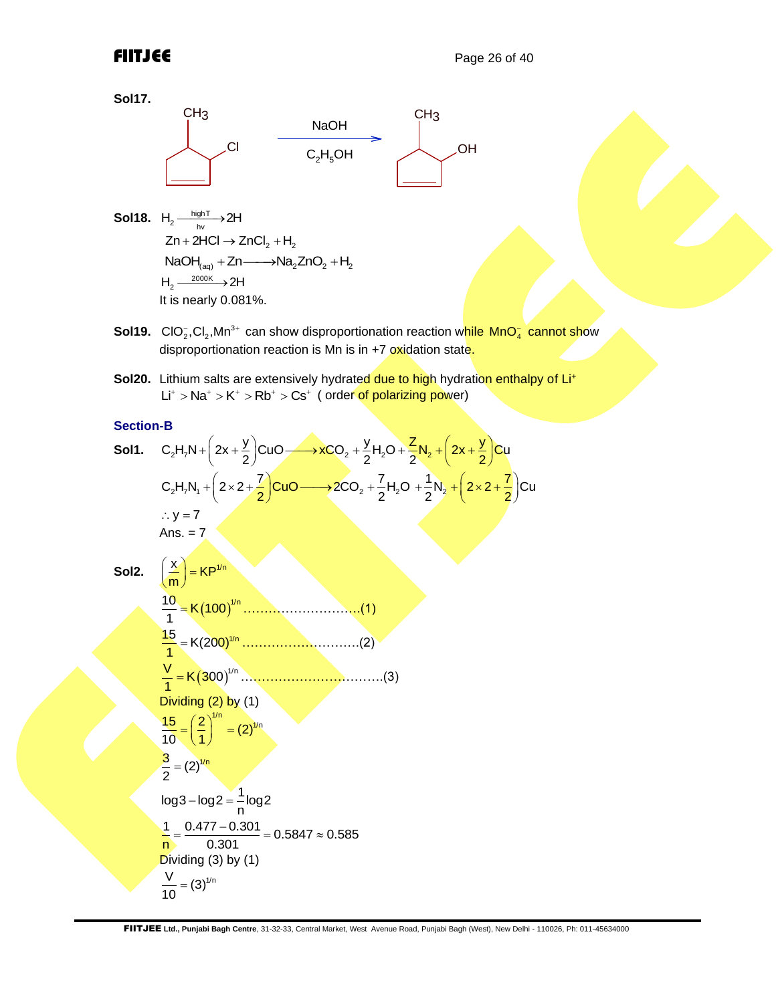**Sol17.**



- **Sol18.**  $H_2 \xrightarrow[\text{hv}]{\text{highT}} 2H$  $Zn + 2HCl \rightarrow ZnCl<sub>2</sub> + H<sub>2</sub>$ <br>NaOH $_{(aq)} + Zn \longrightarrow Na<sub>2</sub>ZnO<sub>2</sub> + H<sub>2</sub>$  $H_2 \xrightarrow{2000K} 2H$ It is nearly 0.081%.
- Sol19. ClO<sub>2</sub>,Cl<sub>2</sub>,Mn<sup>3+</sup> can show disproportionation reaction w<mark>hile MnO<sub>4</sub> cannot sho</mark>w disproportionation reaction is Mn is in  $+7$  oxidation state.
- **Sol20.** Lithium salts are extensively hydrated due to high hydration enthalpy of Li<sup>+</sup> Lit  $\lambda$  Ma<sup>+</sup>  $>$  K<sup>+</sup>  $>$  Rb<sup>+</sup>  $>$  Cs<sup>+</sup> ( order of polarizing power)

## **Section-B**

Section-B  
\n**Sol1.** C<sub>2</sub>H<sub>7</sub>N<sub>+</sub> 
$$
\left(2x + \frac{y}{2}\right)
$$
CuO →  $xCO_2 + \frac{y}{2}H_2O + \frac{z}{2}N_2 + \left(2x + \frac{y}{2}\right)$ Cu  
\nC<sub>2</sub>H<sub>7</sub>N<sub>1</sub> +  $\left(2 \times 2 + \frac{7}{2}\right)$ CuO →  $2CO_2 + \frac{7}{2}H_2O + \frac{1}{2}N_2 + \left(2 \times 2 + \frac{7}{2}\right)$ Cu  
\n $\therefore y = 7$   
\nAns. = 7  
\n**Sol2.**  $\left(\frac{x}{m}\right) = KP^{\frac{y}{m}}$   
\n $\frac{10}{1} = K(100)^{1/n}$   
\n $\frac{15}{1} = K(200)^{1/n}$   
\n $\frac{15}{1} = K(300)^{1/n}$   
\n $\frac{V}{10} = (2)^{1/n}$   
\n $\frac{3}{10} = (2)^{1/n}$   
\n $\log 3 - \log 2 = \frac{1}{n} \log 2$   
\n $\frac{1}{n} = \frac{0.477 - 0.301}{0.301} = 0.5847 \approx 0.585$   
\nDividing (3) by (1)  
\n $\frac{V}{10} = (3)^{1/n}$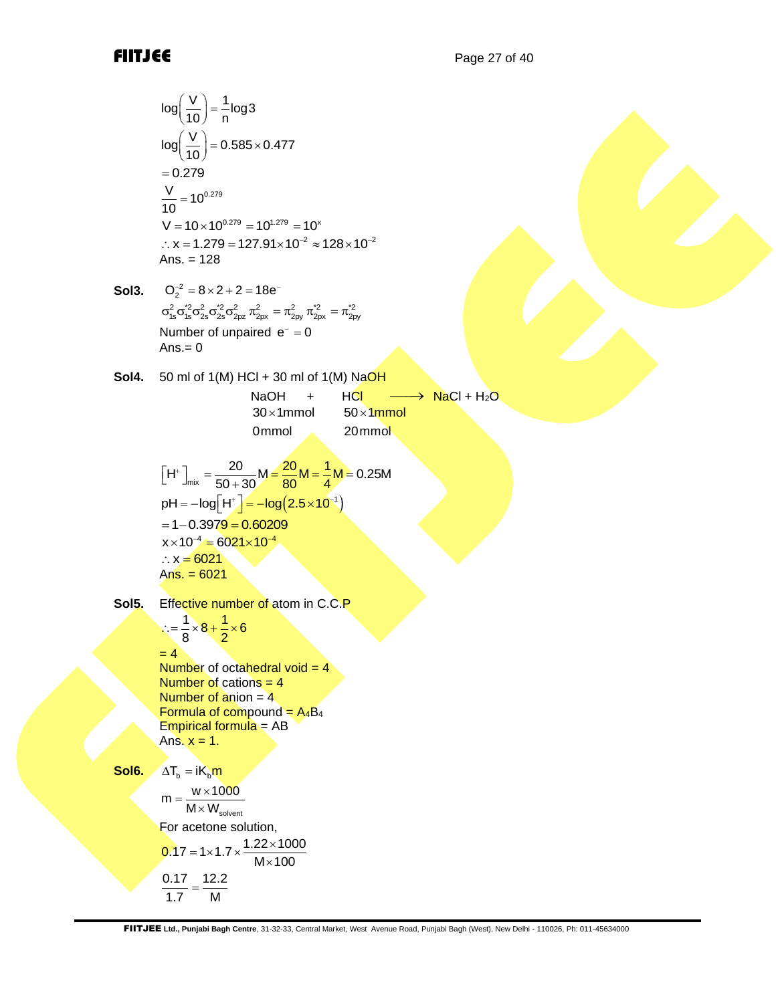log(1/θ) = 
$$
\frac{1}{n}log3
$$
  
\nlog(1/θ) = 0.585×0.477  
\n-0.279  
\n $\frac{V}{10} = 10^{232}$   
\n= 10<sup>232</sup>  
\n= 10<sup>-232</sup>  
\n= 10<sup>-232</sup>  
\n= 128  
\nSo13. O<sub>2</sub><sup>2</sup> = 8×2+2=18e  
\n $\sigma_{10}^2 \frac{2}{3} \sigma_{20}^2 \frac{2}{3} \sigma_{30}^2 = \pi_{10}^2 \frac{2}{3} \sigma_{30}^2 = \pi_{20}^2$   
\nNumber of unpaired e = 0  
\nSo14. 50 ml of 1(M) HCl + 30 ml of 1(M) NaOH  
\nNolH  
\nNolH  
\n30 × 1mmol 50 × 1mmol 20mmol  
\n20 mmol  
\n[H<sup>+</sup>]<sub>=1</sub> =  $\frac{20}{50+30} \frac{M-20M-4}{60+30} \frac{M}{4} \frac{M}{M} = 0.25M$   
\nph1 = -log(1F) = -log(2.5×10<sup>-1</sup>)  
\n= -0.3979 = 0.60209  
\n× x = 6021  
\nAs. = 6021  
\nSo15. Effective number of atom in C.C.P  
\n $\frac{1}{x} = \frac{1}{8} \times 8 + \frac{1}{2} \times 6$   
\n= 4  
\nNumber of catahend and in C.C.P  
\n $\frac{1}{x} = \frac{1}{8} \times 8 + \frac{1}{2} \times 6$   
\n= 4  
\nNumber of catahend 24  
\nNumber of catahend 24  
\nNumber of catahend 24  
\nNumber of catahend 24  
\nNumber of catahend 24  
\nNumber of catahend 24  
\nFormula of compound = A<sub>4</sub>B.  
\n $\frac{F$ omula of compound = A<sub>4</sub>B.  
\n $\frac{F$ omula of compound = A<sub>4</sub>B.  
\n $\frac{F$ omula of normal = A<sub>4</sub>B.  
\n $\frac{F}{M$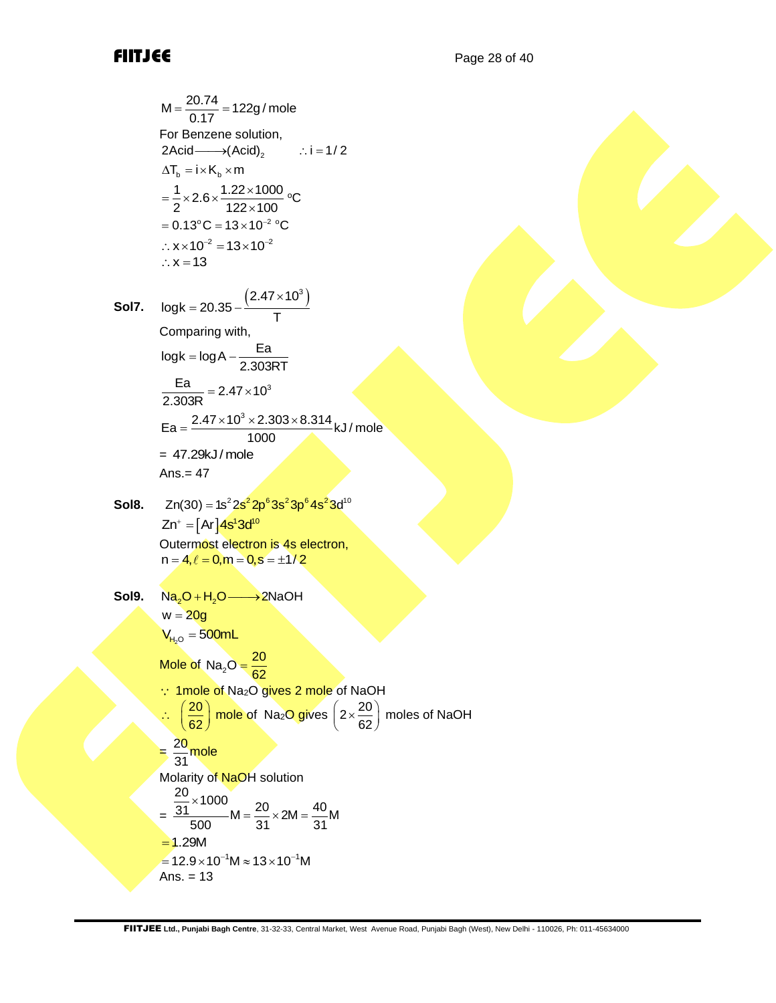M = 
$$
\frac{20.74}{0.17}
$$
 = 122g/mole  
\nFor Benzene solution,  
\n2Acid—→(Acid)<sub>2</sub> ∴: i = 1/2  
\n $\Delta T_b = i \times K_b \times m$   
\n $= \frac{1}{2} \times 2.6 \times \frac{1.22 \times 1000}{122 \times 100}$  °C  
\n= 0.13 °C = 13×10<sup>-2</sup> °C  
\n∴ x×10<sup>-2</sup> = 13×10<sup>-2</sup>  
\n∴ x = 13

**SoI7.** 
$$
log k = 20.35 - \frac{(2.47 \times 10^3)}{T}
$$
  
\nComparing with,  
\n $log k = log A - \frac{Ea}{2.303RT}$   
\n $\frac{Ea}{2.303R} = 2.47 \times 10^3$   
\n $Ea = \frac{2.47 \times 10^3 \times 2.303 \times 8.314}{1000}$  kJ/mole  
\n= 47.29kJ/mole  
\nAns. = 47

**Sol8.** 
$$
Zn(30) = 1s^2 2s^2 2p^6 3s^2 3p^6 4s^2 3d^{10}
$$
  
\n $Zn^+ = [Ar] 4s^1 3d^{10}$   
\nOutermost electron is 4s electron,  
\n $n = 4, \ell = 0, m = 0, s = \pm 1/2$ 

M = 
$$
\frac{20.74}{0.17} = 122g/mole
$$
  
\nFor Benzene solution,  
\n2Acid— $\rightarrow (Acid)$   
\n=  $1 \times k_x$  cm  
\n=  $\frac{1}{2} \times 2.6 \times \frac{1.22 \times 1000}{122 \times 100}$  °C  
\n= 0.13°C = 13×10<sup>-2</sup> °C  
\n∴ x×10<sup>2</sup> = 13×10<sup>-2</sup> °C  
\n∴ x×10<sup>2</sup> = 13×10<sup>-2</sup>  
\n= 2.378-12  
\nComparing with,  
\nlogk = log A –  $\frac{Ea}{2.303RT}$   
\n $\frac{Ea}{2.303RT} = 2.47 \times 10^3$   
\n= 47.29kJ/mole  
\nAns. = 47  
\nSolB. Zn(30) =  $1s^2 2s^2 2p^6 3s^2 3p^6 4s^3 d^{10}$   
\nZn<sup>-1</sup> = [A<sup>1</sup>4s<sup>3</sup>3d<sup>9</sup>  
\nZn<sup>-1</sup> = [A<sup>1</sup>4s<sup>3</sup>3d<sup>9</sup>  
\n2n<sup>4</sup> = 0, m = 0, s = ±1/2  
\nSolB. Na<sub>2</sub>O + H<sub>2</sub>O → 2NaOH  
\n= 20g  
\nV<sub>1x0</sub> = 500mL  
\nMole of Na<sub>2</sub>O gives 2 mole of Na2O gives 2 mole of NaOH  
\n $\therefore \frac{20}{(\frac{20}{62}) \text{ mole of Na2O gives 2 mole of NaOH}$   
\n $\therefore \frac{20}{(\frac{20}{62}) \text{ mole of Na2O gives 2 mole of NaOH}$   
\n $\therefore \frac{20}{500} \times 1000$   
\nMole of Na<sub>2</sub>O gives 2  $\frac{a}{2}$  × 2M =  $\frac{40}{31}$ M  
\n= 1.29M  
\n= 1.29M  
\n= 1.29×10<sup>-1</sup>M × 13×10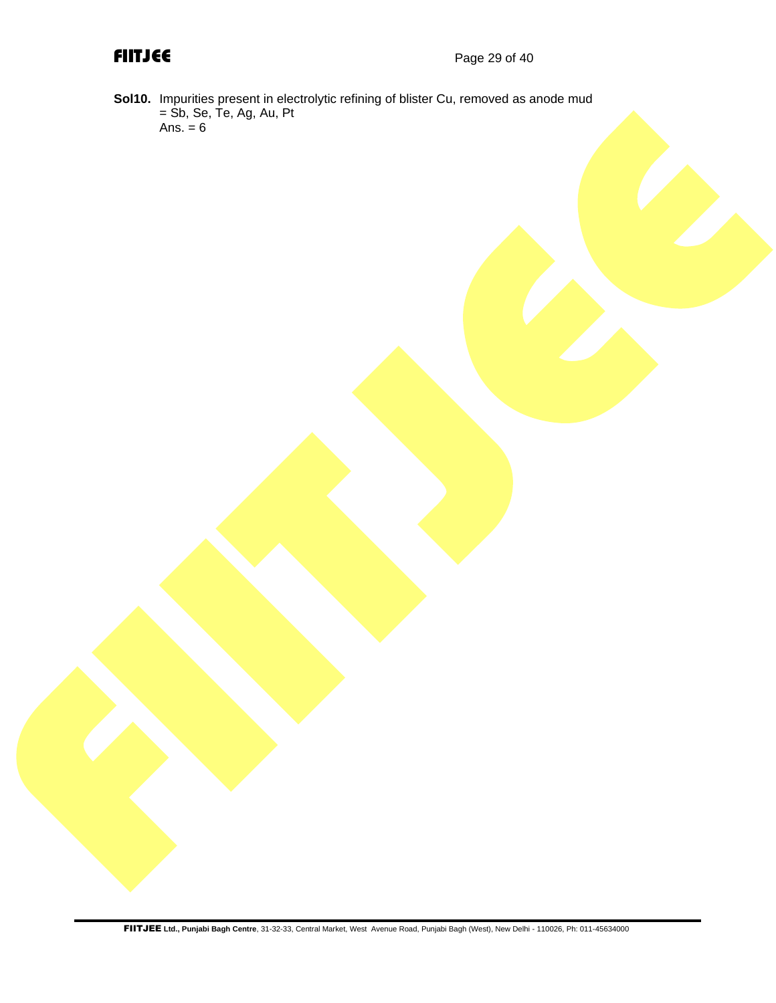**Sol10.** Impurities present in electrolytic refining of blister Cu, removed as anode mud = Sb, Se, Te, Ag, Au, Pt Ans. = 6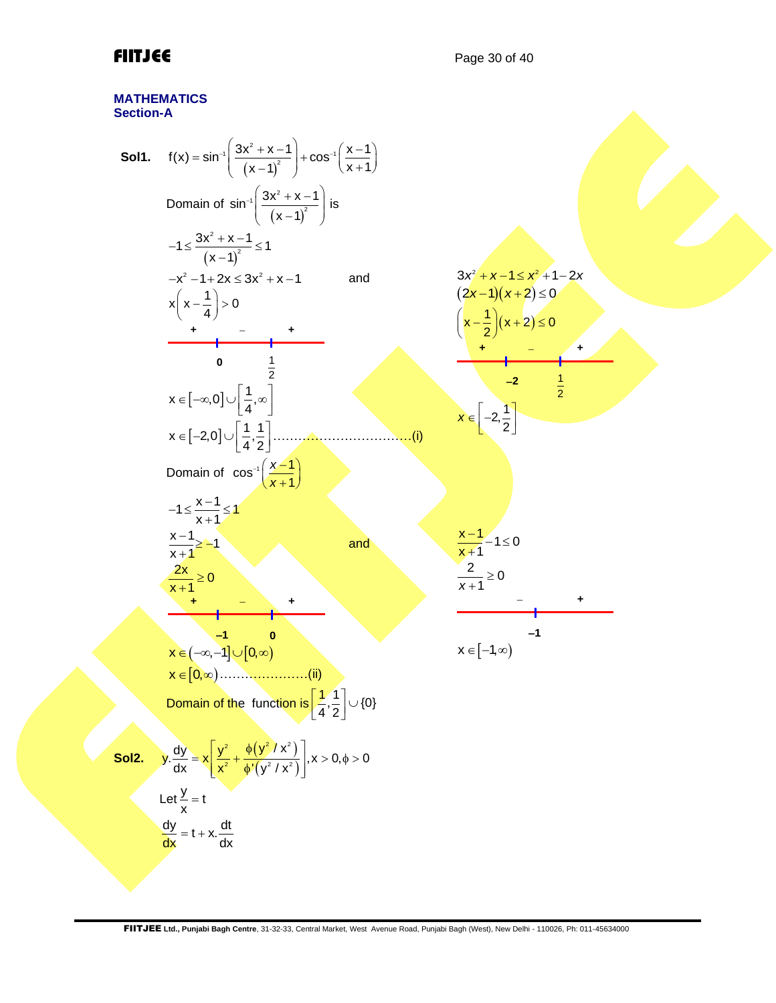### **MATHEMATICS Section-A**

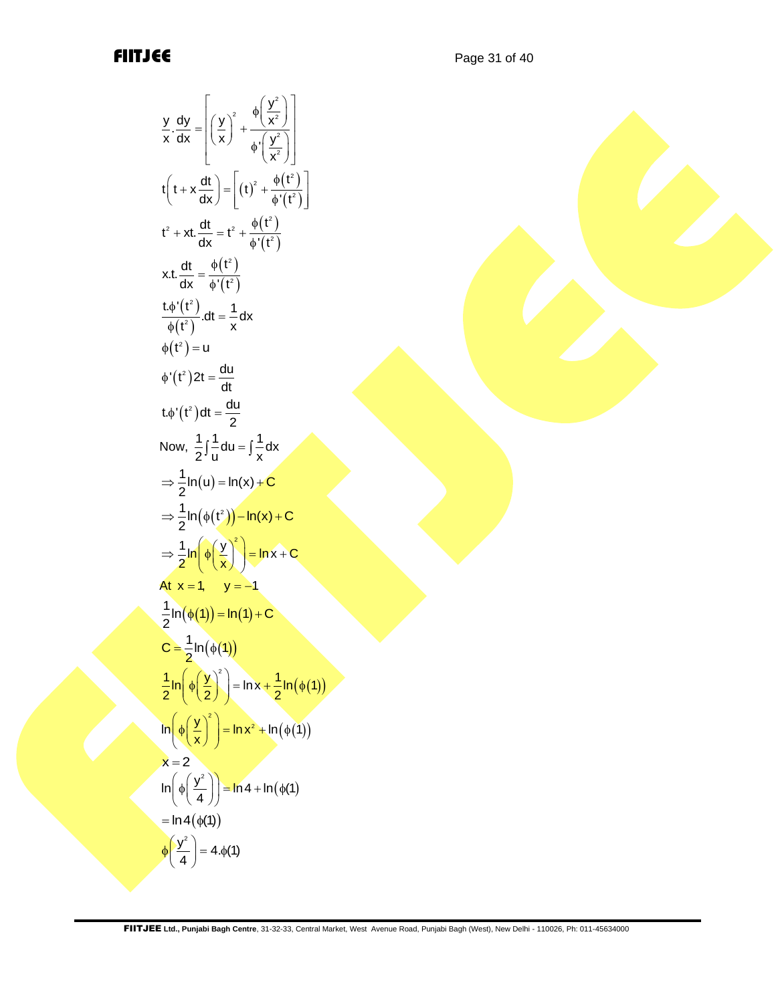$$
\frac{y}{x} \frac{dy}{dx} = \left[ \left( \frac{y}{x} \right)^2 + \frac{\phi \left( \frac{y^2}{x^2} \right)}{\phi' \left( \frac{y^2}{x^2} \right)} \right]
$$
\n
$$
t \left( t + x \frac{dt}{dx} \right) = \left[ (t)^2 + \frac{\phi(t^2)}{\phi'(t^2)} \right]
$$
\n
$$
t^2 + xt \cdot \frac{dt}{dx} = t^2 + \frac{\phi(t^2)}{\phi'(t^2)}
$$
\n
$$
xt \cdot \frac{dt}{dx} = \frac{\phi(t^2)}{\phi'(t^2)}
$$
\n
$$
\frac{t \phi'(t^2)}{\phi(t^2)} \cdot dt = \frac{1}{x} dx
$$
\n
$$
\phi(t^2) = u
$$
\n
$$
\phi'(t^2) dt = \frac{du}{dt}
$$
\n
$$
t \phi'(t^2) dt = \frac{du}{dt}
$$
\n
$$
t \phi'(t^2) dt = \frac{du}{2}
$$
\nNow,  $\frac{1}{2} \int \frac{1}{u} du = \int \frac{1}{x} dx$ \n
$$
\Rightarrow \frac{1}{2} \ln(u) = \ln(x) + C
$$
\n
$$
\Rightarrow \frac{1}{2} \ln(\phi(t^2)) - \ln(x) + C
$$
\n
$$
\Rightarrow \frac{1}{2} \ln(\phi(\frac{y}{x}))^2 = \ln x + C
$$
\nAt  $x = 1$ ,  $y = -1$ \n
$$
\frac{1}{2} \ln(\phi(1)) = \ln(1) + C
$$
\n
$$
C = \frac{1}{2} \ln(\phi(1))
$$
\n
$$
\frac{1}{2} \ln\left(\phi\left(\frac{y}{2}\right)^2\right) = \ln x + \frac{1}{2} \ln(\phi(1))
$$
\n
$$
\ln\left(\phi\left(\frac{y^2}{4}\right)\right) = \ln 4 + \ln(\phi(1))
$$
\n
$$
x = 2
$$
\n
$$
\ln\left(\phi\left(\frac{y^2}{4}\right)\right) = \ln 4 + \ln(\phi(1))
$$
\n
$$
\phi\left(\frac{y^2}{4}\right) = 4. \phi(1)
$$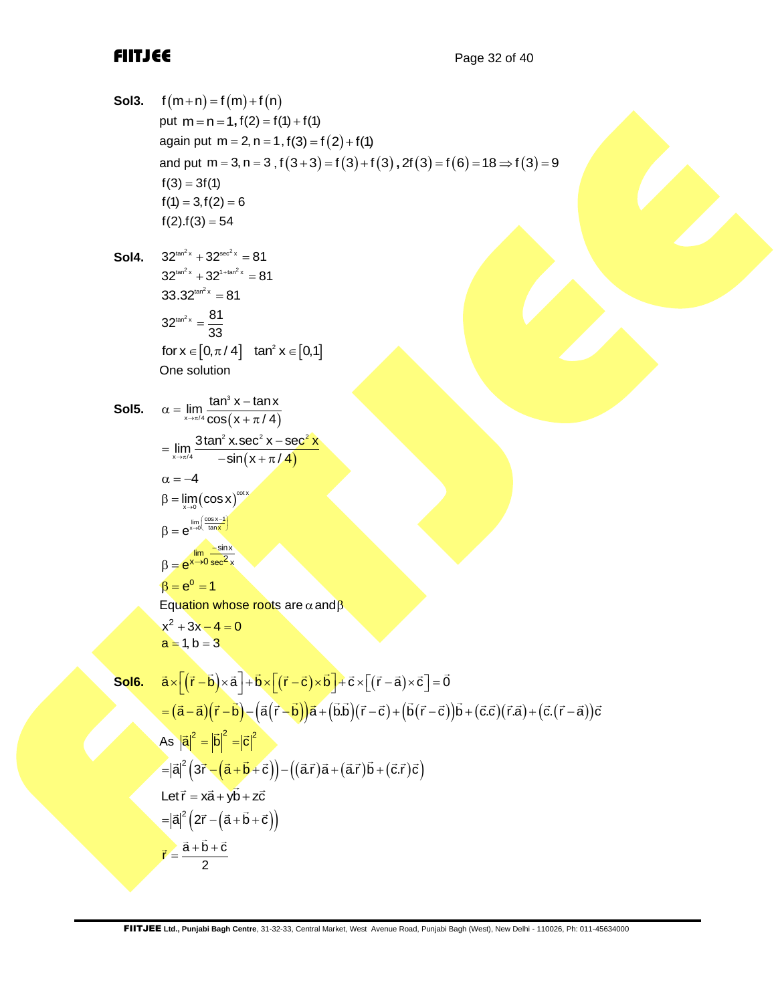| Sol3.             | $f(m+n) = f(m) + f(n)$                                                                                                                                                                                                                                                        |
|-------------------|-------------------------------------------------------------------------------------------------------------------------------------------------------------------------------------------------------------------------------------------------------------------------------|
|                   | put $m = n = 1$ , $f(2) = f(1) + f(1)$                                                                                                                                                                                                                                        |
|                   | again put $m = 2$ , $n = 1$ , $f(3) = f(2) + f(1)$                                                                                                                                                                                                                            |
|                   | and put m = 3, n = 3 , f $(3+3) = f(3) + f(3)$ , 2f $(3) = f(6) = 18 \Rightarrow f(3) = 9$                                                                                                                                                                                    |
|                   | $f(3) = 3f(1)$                                                                                                                                                                                                                                                                |
|                   | $f(1) = 3, f(2) = 6$                                                                                                                                                                                                                                                          |
|                   | $f(2).f(3) = 54$                                                                                                                                                                                                                                                              |
|                   | $32^{\tan^2 x} + 32^{\sec^2 x} = 81$                                                                                                                                                                                                                                          |
| Sol4.             | $32^{\tan^2 x} + 32^{1+\tan^2 x} = 81$                                                                                                                                                                                                                                        |
|                   | $33.32^{\tan^2 x} = 81$                                                                                                                                                                                                                                                       |
|                   |                                                                                                                                                                                                                                                                               |
|                   | $32^{\tan^2 x} = \frac{81}{33}$                                                                                                                                                                                                                                               |
|                   | for $x \in [0, \pi/4]$ tan <sup>2</sup> $x \in [0,1]$                                                                                                                                                                                                                         |
|                   | One solution                                                                                                                                                                                                                                                                  |
|                   |                                                                                                                                                                                                                                                                               |
| Sol5.             | $\alpha = \lim_{x \to \pi/4} \frac{\tan^3 x - \tan x}{\cos(x + \pi/4)}$                                                                                                                                                                                                       |
|                   |                                                                                                                                                                                                                                                                               |
|                   | $=\lim_{x\to\pi/4}\frac{3\tan^2 x.\sec^2 x - \sec^2 x}{-\sin(x+\pi/4)}$                                                                                                                                                                                                       |
|                   | $\alpha = -4$                                                                                                                                                                                                                                                                 |
|                   | $\beta = \lim_{x \to 0} (cos x)^{cot x}$                                                                                                                                                                                                                                      |
|                   | $\beta = e^{\lim_{x\to 0} \left( \frac{\cos x - 1}{\tan x} \right)}$                                                                                                                                                                                                          |
|                   | $\beta = e^{\lim_{x \to 0} \frac{-\sin x}{\sec^2 x}}$                                                                                                                                                                                                                         |
|                   | $\beta = e^{0} = 1$                                                                                                                                                                                                                                                           |
|                   | Equation whose roots are $\alpha$ and $\beta$                                                                                                                                                                                                                                 |
|                   | $x^2 + 3x - 4 = 0$                                                                                                                                                                                                                                                            |
|                   | $a = 1, b = 3$                                                                                                                                                                                                                                                                |
| Sol <sub>6.</sub> | $\vec{a} \times \left( (\vec{r} - \vec{b}) \times \vec{a} \right) + \vec{b} \times \left[ (\vec{r} - \vec{c}) \times \vec{b} \right] + \vec{c} \times \left[ (\vec{r} - \vec{a}) \times \vec{c} \right] = \vec{0}$                                                            |
|                   | $\frac{1}{2} = (\vec{a} - \vec{a})(\vec{r} - \vec{b}) - (\vec{a}(\vec{r} - \vec{b}))\vec{a} + (\vec{b} \cdot \vec{b})(\vec{r} - \vec{c}) + (\vec{b}(\vec{r} - \vec{c}))\vec{b} + (\vec{c} \cdot \vec{c})(\vec{r} \cdot \vec{a}) + (\vec{c} \cdot (\vec{r} - \vec{a}))\vec{c}$ |
|                   |                                                                                                                                                                                                                                                                               |
|                   | As $ \vec{a} ^2 =  \vec{b} ^2 =  \vec{c} ^2$                                                                                                                                                                                                                                  |
|                   | $= \vec{a} ^2(3\vec{r}-(\vec{a}+\vec{b}+\vec{c})) - ((\vec{a}.\vec{r})\vec{a}+(\vec{a}.\vec{r})\vec{b}+(\vec{c}.\vec{r})\vec{c})$                                                                                                                                             |
|                   | Let $\vec{r} = x\vec{a} + y\vec{b} + z\vec{c}$                                                                                                                                                                                                                                |
|                   | $= \vec{a} ^2 (2\vec{r} - (\vec{a} + \vec{b} + \vec{c}))$                                                                                                                                                                                                                     |
|                   | $\vec{r} = \frac{\vec{a} + \vec{b} + \vec{c}}{1}$                                                                                                                                                                                                                             |
|                   |                                                                                                                                                                                                                                                                               |

2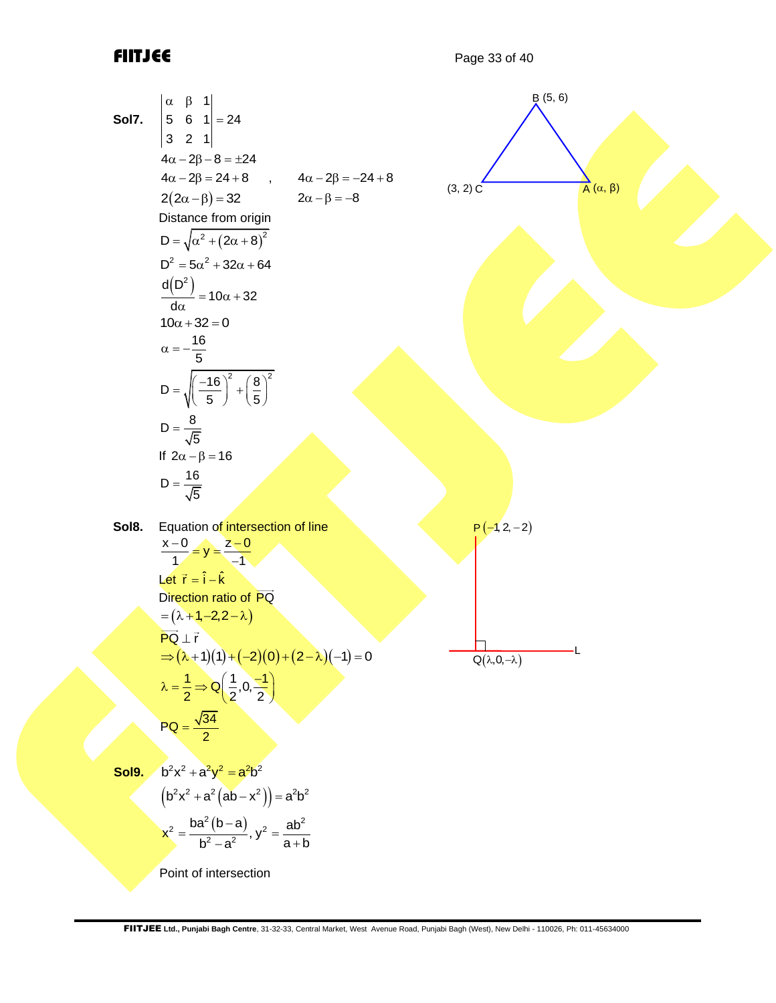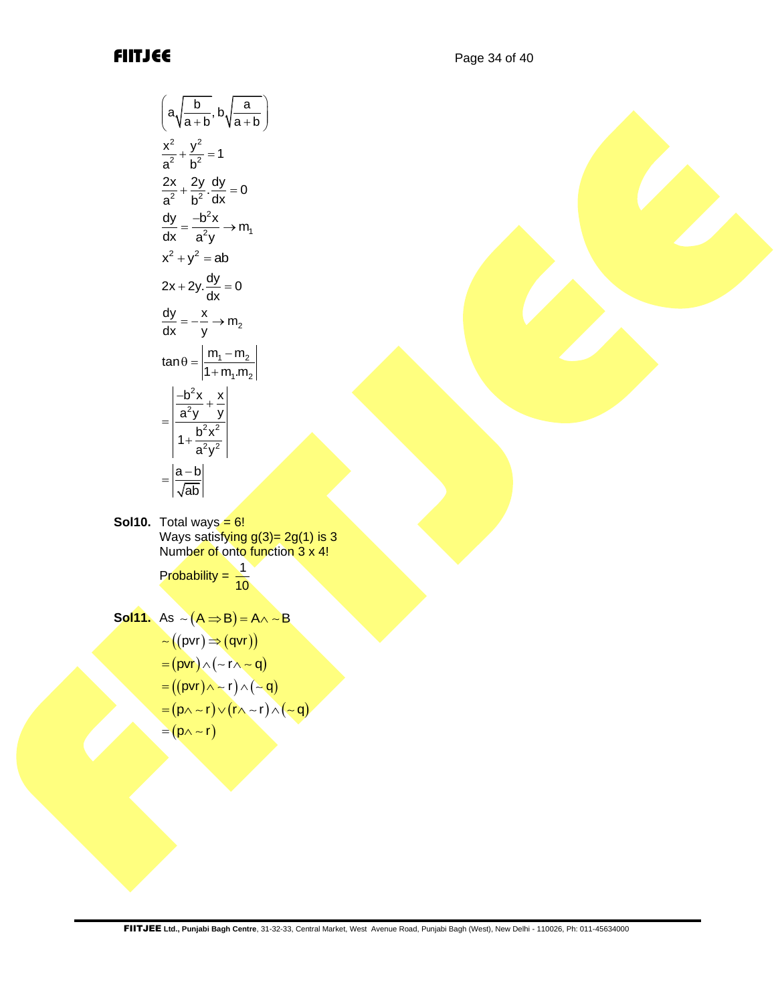$$
\left(a\sqrt{\frac{b}{a+b}} \cdot b\sqrt{\frac{a}{a+b}}\right)
$$
\n
$$
\frac{x^2}{a^2} + \frac{y^2}{b^2} = 1
$$
\n
$$
\frac{2x}{a^2} + \frac{2y}{b^2} \frac{dy}{dx} = 0
$$
\n
$$
\frac{dy}{dx} = \frac{-b^2x}{a^2y} \rightarrow m_1
$$
\n
$$
x^2 + y^2 = ab
$$
\n
$$
2x + 2y \frac{dy}{dx} = 0
$$
\n
$$
\frac{dy}{dx} = -\frac{x}{y} \rightarrow m_2
$$
\n
$$
\frac{du}{dx} = -\frac{x}{y} \rightarrow m_2
$$
\n
$$
\frac{du}{dx} = \frac{\frac{-b^2x}{a^2y} + \frac{x}{y}}{\frac{a^2y}{a^2y}}
$$
\n
$$
= \frac{\left|\frac{a-b}{a^2y}\right|}{\left|\frac{a^2y}{\sqrt{ab}}\right|} = \frac{1}{10}
$$
\n
$$
d = 0
$$
\n
$$
\text{We say satisfying } g(3) = 2g(1) \text{ is 3}
$$
\n
$$
\text{Number of onto function } 3 \times 4!
$$
\n
$$
\text{Probability} = \frac{1}{10}
$$
\n
$$
= (pvt) \times (-f \times -g)
$$
\n
$$
= ((pvt) \times f) \land (-g)
$$
\n
$$
= (p0 \land -f) \lor (f \land -f) \land (-g)
$$
\n
$$
= (p0 \land -f) \lor (f \land -f) \land (-g)
$$
\n
$$
= (p0 \land -f) \lor (f \land -f) \land (-g)
$$
\n
$$
= (p0 \land -f) \lor (f \land -f) \land (-g)
$$
\n
$$
= (p0 \land -f) \lor (f \land -f) \land (-g)
$$
\n
$$
= (p0 \land -f) \lor (f \land -f) \land (-g)
$$
\n
$$
= (p0 \land -f) \lor (f \land -f) \land (-g)
$$
\n
$$
= (p0 \land -f) \lor (f \land -f) \land (-g)
$$
\n
$$
= (p0 \land -f)
$$

**Sol10.** Total ways = 6! Ways satisf<mark>ying g(3)= 2g(1) is 3</mark> Number of onto function 3 x 4!

> Probability =  $\frac{1}{16}$ 10

$$
Sol11. As ~amp;\sim (A \Rightarrow B) = A \land \sim B
$$

$$
\begin{aligned}\n&\sim \left( \left( \text{pvr} \right) \Rightarrow \left( \text{qvr} \right) \right) \\
&= \left( \text{pvr} \right) \land \left( \neg \Gamma \land \neg \mathbf{q} \right) \\
&= \left( \left( \text{pvr} \right) \land \neg \Gamma \right) \land \left( \neg \mathbf{q} \right) \\
&= \left( \text{p} \land \neg \Gamma \right) \lor \left( \Gamma \land \neg \Gamma \right) \land \left( \neg \mathbf{q} \right) \\
&= \left( \text{p} \land \neg \Gamma \right)\n\end{aligned}
$$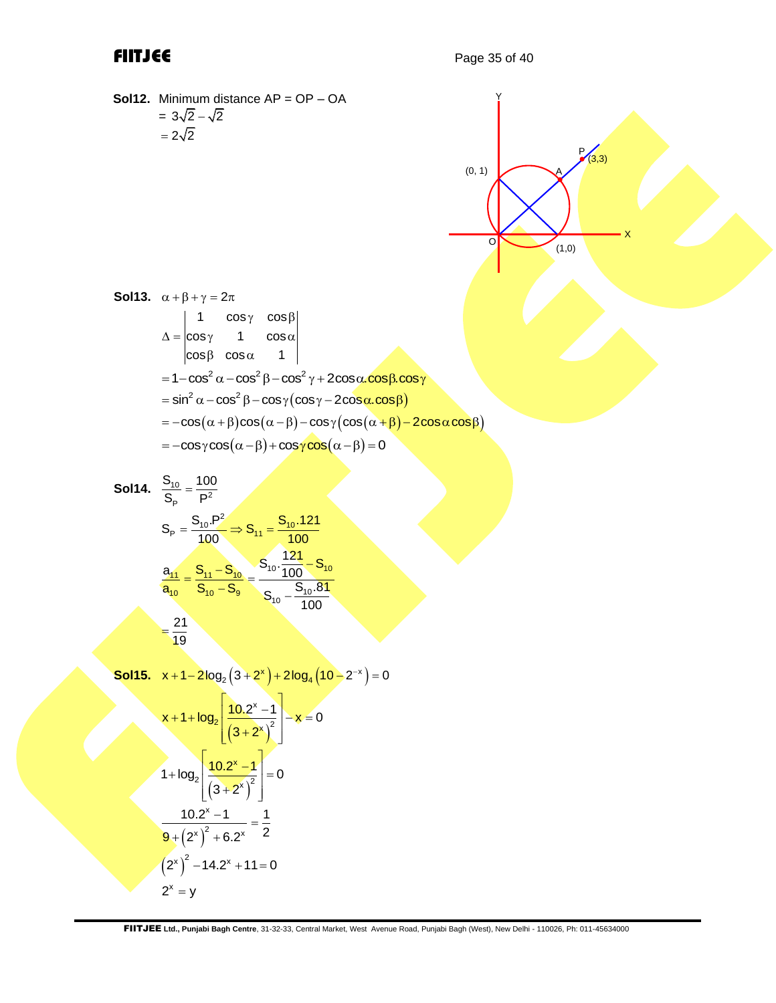$2^x = y$ 

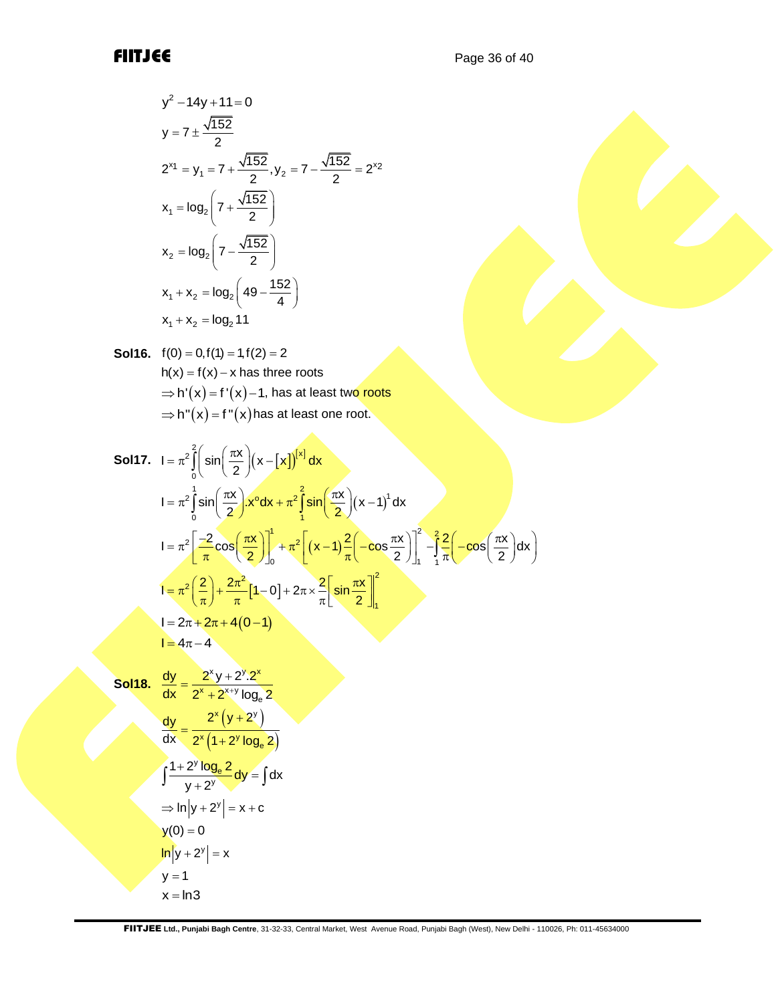$$
y^{2}-14y+11=0
$$
\n
$$
y = 7 \pm \frac{\sqrt{152}}{2}
$$
\n
$$
2^{x_{1}} = y_{1} = 7 + \frac{\sqrt{152}}{2}, y_{2} = 7 - \frac{\sqrt{152}}{2} = 2^{x_{2}}
$$
\n
$$
x_{1} = \log_{2}\left(7 + \frac{\sqrt{152}}{2}\right)
$$
\n
$$
x_{2} = \log_{2}\left(7 - \frac{\sqrt{152}}{2}\right)
$$
\n
$$
x_{1} + x_{2} = \log_{2}\left(49 - \frac{152}{4}\right)
$$
\n
$$
x_{1} + x_{2} = \log_{2}11
$$

**Sol16.** 
$$
f(0) = 0, f(1) = 1, f(2) = 2
$$
  
\n $h(x) = f(x) - x$  has three roots  
\n $\Rightarrow h'(x) = f'(x) - 1$ , has at least two roots  
\n $\Rightarrow h''(x) = f''(x)$  has at least one root.

**Sol17.** 
$$
I = \pi^2 \int_0^2 \left( \sin\left(\frac{\pi x}{2}\right) (x - [x])^{x} \right) dx
$$
  
\n
$$
I = \pi^2 \int_0^1 \sin\left(\frac{\pi x}{2}\right) x^{\circ} dx + \pi^2 \int_1^2 \sin\left(\frac{\pi x}{2}\right) (x - 1)^{1} dx
$$
  
\n
$$
I = \pi^2 \left[ \frac{-2}{\pi} \cos\left(\frac{\pi x}{2}\right) \right]_0^1 + \pi^2 \left[ (x - 1) \frac{2}{\pi} \left( -\cos\left(\frac{\pi x}{2}\right) \right) \right]_1^2 - \int_1^2 \frac{2}{\pi} \left( -\cos\left(\frac{\pi x}{2}\right) dx \right)
$$
  
\n
$$
I = \pi^2 \left( \frac{2}{\pi} \right) + \frac{2\pi^2}{\pi} [1 - 0] + 2\pi \times \frac{2}{\pi} \left[ \sin\left(\frac{\pi x}{2}\right) \right]_1^2
$$
  
\n
$$
I = 2\pi + 2\pi + 4(0 - 1)
$$
  
\n
$$
I = 4\pi - 4
$$

Sol18. 
$$
\frac{dy}{dx} = \frac{2^{x}y + 2^{y} \cdot 2^{x}}{2^{x} + 2^{x+y} \log_{e} 2}
$$

\n
$$
\frac{dy}{dx} = \frac{2^{x}(y + 2^{y})}{2^{x}(1 + 2^{y} \log_{e} 2)}
$$

\n
$$
\int \frac{1 + 2^{y} \log_{e} 2}{y + 2^{y}} dy = \int dx
$$

\n
$$
\Rightarrow \ln|y + 2^{y}| = x + c
$$

\n
$$
y(0) = 0
$$

\n
$$
\ln|y + 2^{y}| = x
$$

\n
$$
y = 1
$$

\n
$$
x = \ln 3
$$

FIITJEE **Ltd., Punjabi Bagh Centre**, 31-32-33, Central Market, West Avenue Road, Punjabi Bagh (West), New Delhi - 110026, Ph: 011-45634000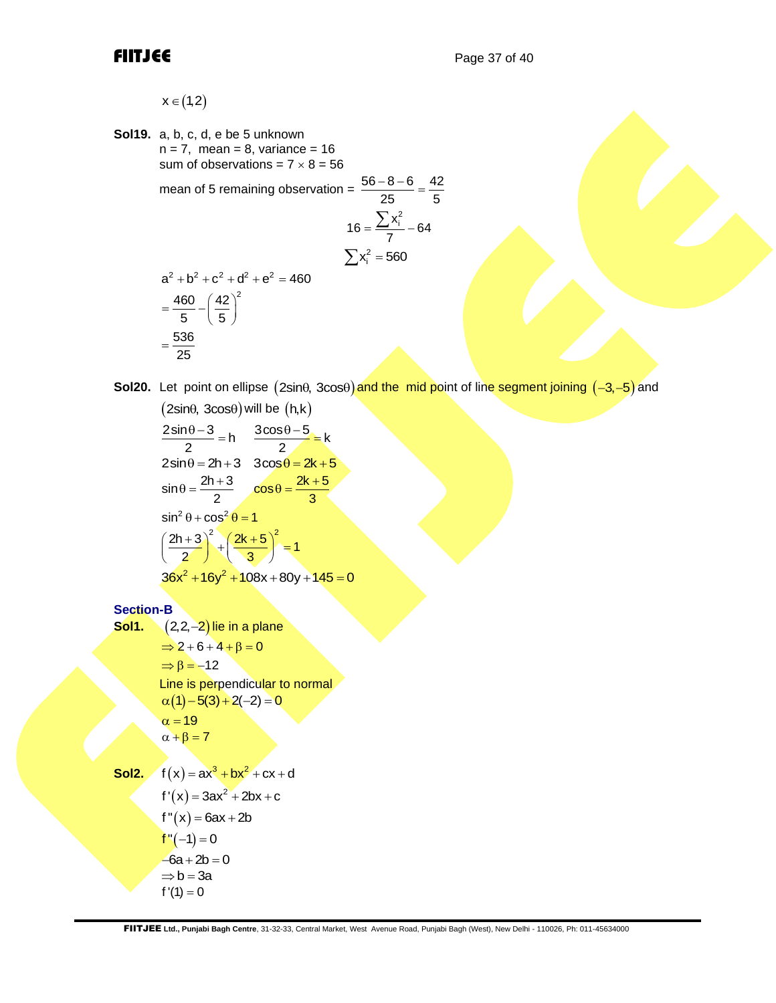$x \in (1,2)$ 

```
Sol19. a, b, c, d, e be 5 unknown
          n = 7, mean = 8, variance = 16
          sum of observations = 7 \times 8 = 56mean of 5 remaining observation = \frac{56-8-6}{25} = \frac{42}{5}25 5
                                                     16 = \frac{\sum x_i^2}{7} - 64\sum x_i^2 = 560a^2 + b^2 + c^2 + d^2 + e^2 = 460=\frac{460}{5} - \left(\frac{42}{5}\right)^2460 (42)^25 5
           =\frac{536}{25}25
```
Sol20. Let point on ellipse (2sin $\theta$ , 3cos $\theta$ )and the mid point of line segment joining (-3,-5)and

 $(2sin\theta, 3cos\theta)$  will be  $(h,k)$  $\frac{2\sin\theta-3}{2} = h \frac{3\cos\theta-5}{2} = k$  $\begin{array}{ccc}\n\frac{2\sin\theta-3}{2}=\frac{h}{2} & \frac{3\cos\theta-5}{2}=\frac{k}{2}\\
\hline\n\sin\theta=2h+3 & 3\cos\theta=2k+5\\
\sin\theta=\frac{2h+3}{2} & \cos\theta=\frac{2k+5}{2}\n\end{array}$  $\sin\theta = \frac{2h+3}{2}$   $\cos\theta = \frac{2k+5}{3}$  $\sin^2 \theta + \cos^2 \theta = 1$  $\left(\frac{2h+3}{2}\right)^2 + \left(\frac{2k+5}{3}\right)^2 = 1$  $36x^{2} + 16y^{2} + 108x + 80y + 145 = 0$ 

## **Section-B**

```
Sol1. (2,2,–2) lie in a plane
          \Rightarrow 2 + 6 + 4 + \beta = 0\Rightarrow \beta = -12Line is perpendicular to normal
          \alpha(1) - 5(3) + 2(-2) = 0\alpha = 19\alpha + \beta = 7Sol2. f(x) = ax^3 + bx^2 + cx + df'(x) = 3ax^2 + 2bx + cf''(x) = 6ax + 2bf''(-1) = 0-6a + 2b = 0\Rightarrow b = 3a
          f '(1) = 0
```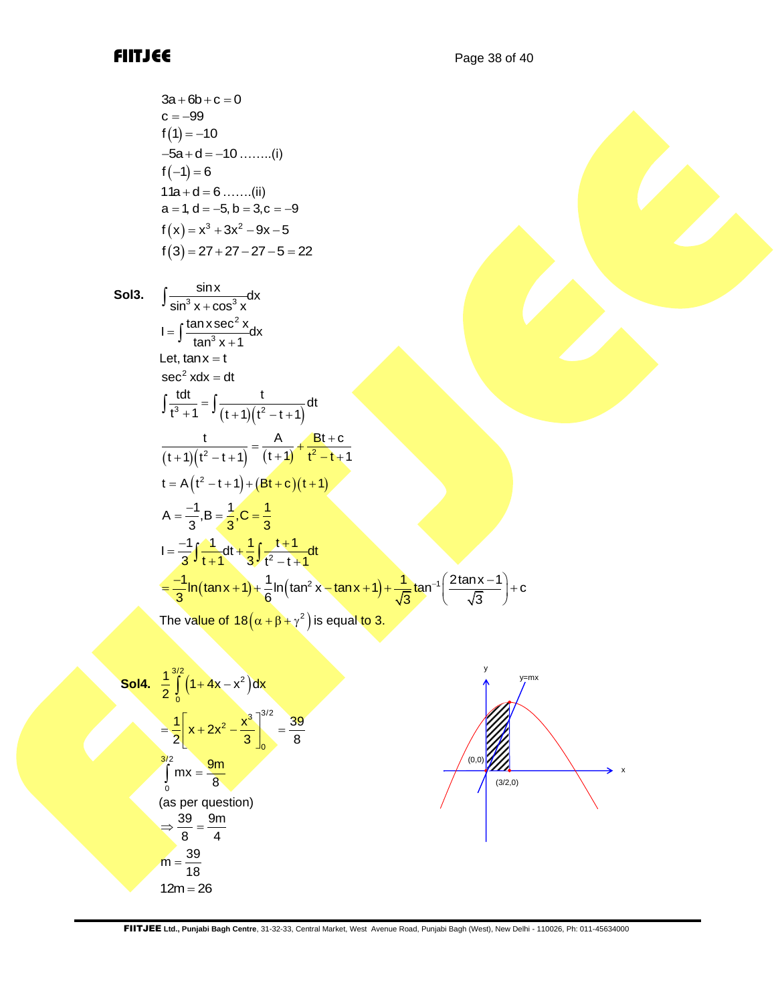$$
3a + 6b + c = 0
$$
  
\n
$$
c = -99
$$
  
\n
$$
f(1) = -10
$$
  
\n
$$
-5a + d = -10 \dots \dots (i)
$$
  
\n
$$
f(-1) = 6
$$
  
\n
$$
11a + d = 6 \dots \dots (ii)
$$
  
\n
$$
a = 1, d = -5, b = 3, c = -9
$$
  
\n
$$
f(x) = x3 + 3x2 - 9x - 5
$$
  
\n
$$
f(3) = 27 + 27 - 27 - 5 = 22
$$

Sol3. 
$$
\int \frac{\sin x}{\sin^{3} x + \cos^{3} x} dx
$$

\n\nI = 
$$
\int \frac{\tan x \sec^{2} x}{\tan^{3} x + 1} dx
$$
\n

\nLet,  $\tan x = t$ 

\nsee  $2 x dx = dt$ 

\n\n
$$
\int \frac{tdt}{t^{3} + 1} = \int \frac{t}{(t + 1)(t^{2} - t + 1)} dt
$$
\n

\n\n
$$
\frac{t}{(t + 1)(t^{2} - t + 1)} = \frac{A}{(t + 1)} + \frac{Bt + c}{t^{2} - t + 1}
$$
\n

\nLet  $A(t^{2} - t + 1) + (Bt + c)(t + 1)$ 

\n\n $A = \frac{-1}{3}, B = \frac{1}{3}, C = \frac{1}{3}$ \n

\n\n $I = \frac{-1}{3} \int \frac{1}{t + 1} dt + \frac{1}{3} \int \frac{t + 1}{t^{2} - t + 1} dt$ \n

\n\n $= \frac{-1}{3} \int \frac{1}{t + 1} dt + \frac{1}{3} \int \frac{t + 1}{t^{2} - t + 1} dt$ \n

\n\n $= \frac{-1}{3} \ln(\tan x + 1) + \frac{1}{6} \ln(\tan^{2} x - \tan x + 1) + \frac{1}{\sqrt{3}} \tan^{-1} \left( \frac{2 \tan x - 1}{\sqrt{3}} \right) + c$ \n

\n\n The value of  $18(\alpha + \beta + \gamma^{2})$  is equal to 3.\n

**Sol4.** 
$$
\frac{1}{2} \int_{0}^{3/2} (1+4x-x^{2}) dx
$$
  
\n
$$
= \frac{1}{2} \left[ x + 2x^{2} - \frac{x^{3}}{3} \right]_{0}^{3/2} = \frac{39}{8}
$$
  
\n
$$
\int_{0}^{3/2} mx = \frac{9m}{8}
$$
  
\n(as per question)  
\n
$$
\Rightarrow \frac{39}{8} = \frac{9m}{4}
$$
  
\n
$$
m = \frac{39}{18}
$$
  
\n
$$
12m = 26
$$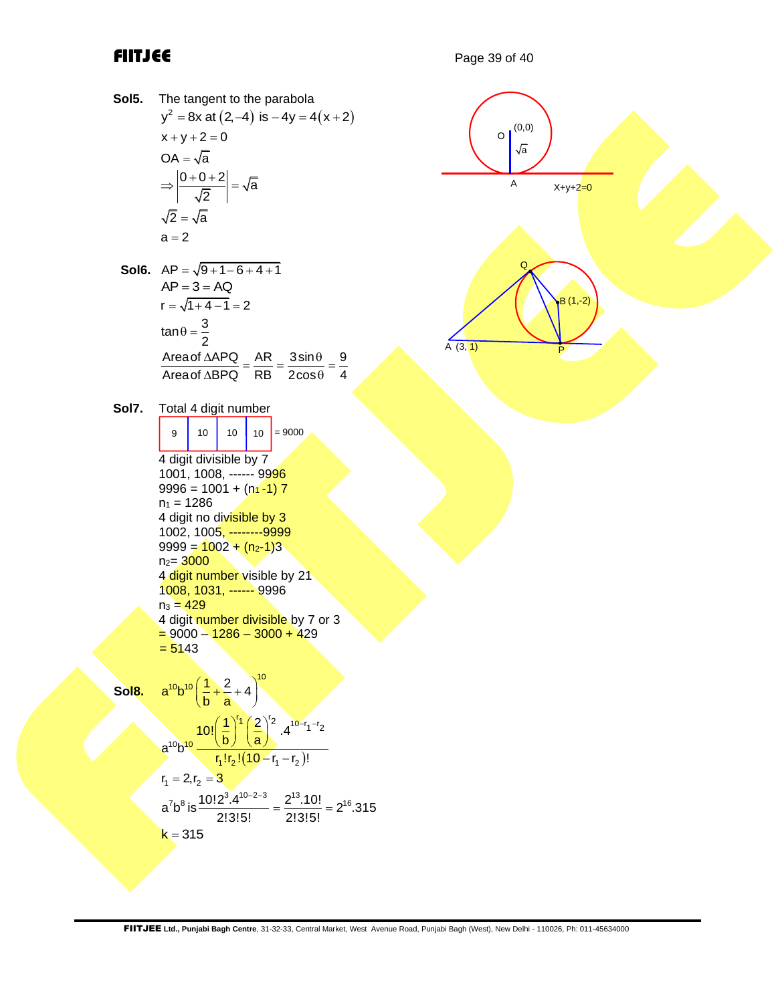**Sol5.** The tangent to the parabola The tangent to the parabola<br> $y^2 = 8x$  at  $(2, -4)$  is  $-4y = 4(x+2)$  $x + y + 2 = 0$  $OA = \sqrt{a}$  $\Rightarrow \left| \frac{0+0+2}{5} \right| = \sqrt{a}$ 2 2 = √a  $a = 2$ **Sol6.**  $AP = \sqrt{9 + 1 - 6 + 4 + 1}$  $AP = 3 = AQ$  $r = \sqrt{1 + 4 - 1} = 2$  $\tan \theta = \frac{3}{2}$  $\frac{\mathsf{p}}{\mathsf{Areaof}\,\Delta\mathsf{APQ}}$   $\_\,\mathsf{AR}\,\_\,\frac{3\mathsf{sin}\theta}{\mathsf{p}}\,\_\,\frac{\mathsf{9}}{\mathsf{p}}$  $\frac{\text{Area of }\Delta \text{BPG}}{\text{Area of }\Delta \text{BPG}} = \frac{\text{ABC}}{\text{RB}} = \frac{3 \text{sin}^2 \theta}{2 \text{cos} \theta} = \frac{3 \text{cos}^2 \theta}{4 \text{cos}^2 \theta}$  $\frac{\triangle APQ}{\triangle B PQ} = \frac{AR}{RB} = \frac{3\sin\theta}{2\cos\theta} = \frac{9}{4}$ **Sol7.** Total 4 digit number  $9 \mid 10 \mid 10 \mid 10 = 9000$ 4 digit divisible by 7 1001, 1008, ------ 9996  $9996 = 1001 + (n_1 - 1)$  7  $n_1 = 1286$ 4 digit no divisible by 3 1002, 1005, --------9999  $9999 = 1002 + (n_2-1)3$  $n_{2} = 3000$ 4 digit number visible by 21 1008, 1031, ------ 9996  $n_3 = 429$ 4 digit number divisible by 7 or 3  $= 9000 - 1286 - 3000 + 429$  $= 5143$ **Sol8.**  $a^{10}b^{10}\left(\frac{1}{b}+\frac{2}{a}+4\right)^{10}$  $\left(\frac{1}{b} + \frac{2}{a} + 4\right)^{10}$  $(10 - r_1 - r_2)$  $\left[ \frac{1}{2} \right]^2$   $10-r_1-r$  $10<sub>h</sub>10$  $r_1! r_2! (10 - r_1 - r_2)$  $10!\left(\frac{1}{b}\right)^{r_1}\left(\frac{2}{a}\right)^{r_2}.4^{10-r_1-r_2}$  $a^{10}b^{10}$   $\frac{10!}{r_1!r_2!(10-r_1-r_2)!}$  $\left(\frac{1}{b}\right)^{r_1} \left(\frac{2}{a}\right)^{r_2} .4^{10-r_1-r_2}$  $-\frac{r_1-r_2}{r_1-r_2}$  $r_1 = 2, r_2 = 3$  $a^7b^8$  is  $\frac{10!2^3.4^{10-2-3}}{2!3!5!} = \frac{2^{13}.10!}{2!3!5!} = 2^{16}.315$  $\frac{e^{-2-3}}{1} = \frac{2^{13} \cdot 10!}{2!2!5!} = 2^{16}$  $k = 315$